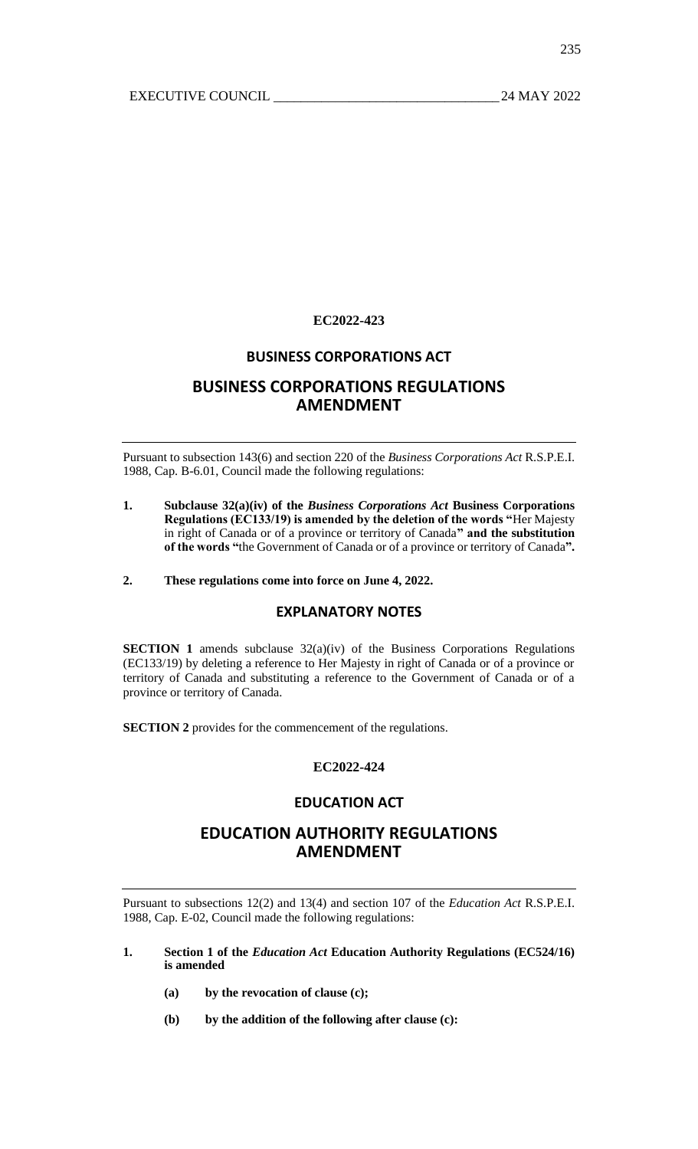# **EC2022-423**

# **BUSINESS CORPORATIONS ACT**

# **BUSINESS CORPORATIONS REGULATIONS AMENDMENT**

Pursuant to subsection 143(6) and section 220 of the *Business Corporations Act* R.S.P.E.I. 1988, Cap. B-6.01, Council made the following regulations:

**1. Subclause 32(a)(iv) of the** *Business Corporations Act* **Business Corporations Regulations (EC133/19) is amended by the deletion of the words "**Her Majesty in right of Canada or of a province or territory of Canada**" and the substitution of the words "**the Government of Canada or of a province or territory of Canada**".**

# **2. These regulations come into force on June 4, 2022.**

## **EXPLANATORY NOTES**

**SECTION 1** amends subclause 32(a)(iv) of the Business Corporations Regulations (EC133/19) by deleting a reference to Her Majesty in right of Canada or of a province or territory of Canada and substituting a reference to the Government of Canada or of a province or territory of Canada.

**SECTION 2** provides for the commencement of the regulations.

## **EC2022-424**

# **EDUCATION ACT**

# **EDUCATION AUTHORITY REGULATIONS AMENDMENT**

Pursuant to subsections 12(2) and 13(4) and section 107 of the *Education Act* R.S.P.E.I. 1988, Cap. E-02, Council made the following regulations:

- **1. Section 1 of the** *Education Act* **Education Authority Regulations (EC524/16) is amended**
	- **(a) by the revocation of clause (c);**
	- **(b) by the addition of the following after clause (c):**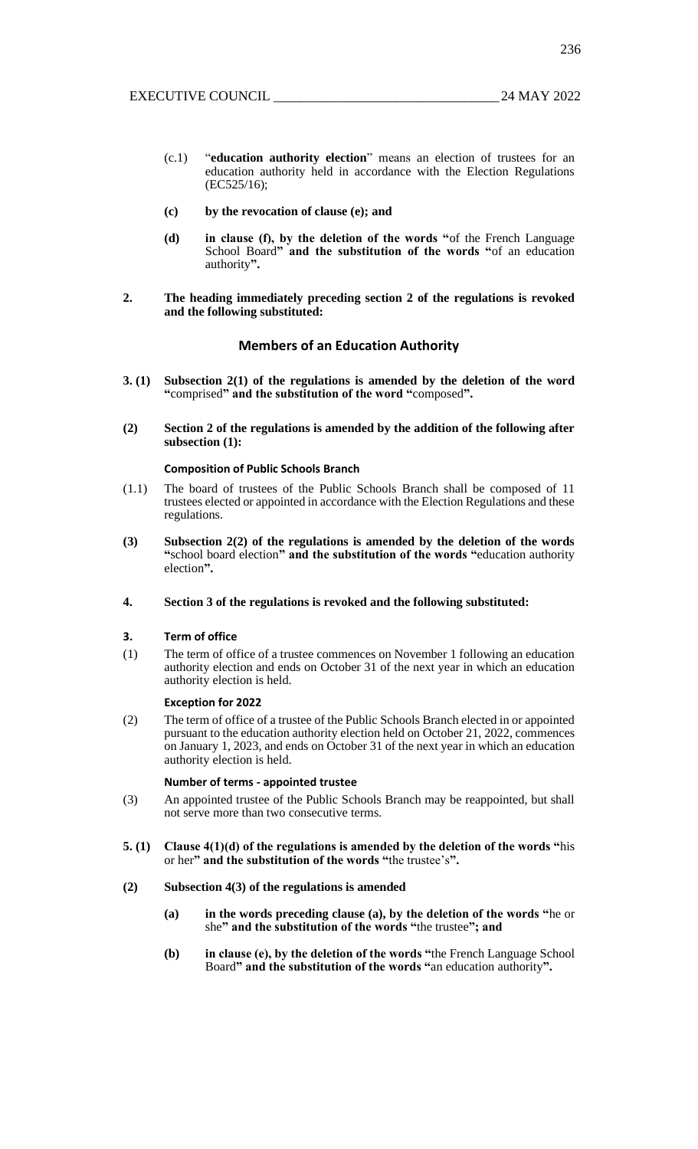- (c.1) "**education authority election**" means an election of trustees for an education authority held in accordance with the Election Regulations (EC525/16);
- **(c) by the revocation of clause (e); and**
- **(d) in clause (f), by the deletion of the words "**of the French Language School Board**" and the substitution of the words "**of an education authority**".**
- **2. The heading immediately preceding section 2 of the regulations is revoked and the following substituted:**

#### **Members of an Education Authority**

- **3. (1) Subsection 2(1) of the regulations is amended by the deletion of the word "**comprised**" and the substitution of the word "**composed**".**
- **(2) Section 2 of the regulations is amended by the addition of the following after subsection (1):**

#### **Composition of Public Schools Branch**

- (1.1) The board of trustees of the Public Schools Branch shall be composed of 11 trustees elected or appointed in accordance with the Election Regulations and these regulations.
- **(3) Subsection 2(2) of the regulations is amended by the deletion of the words "**school board election**" and the substitution of the words "**education authority election**".**
- **4. Section 3 of the regulations is revoked and the following substituted:**

#### **3. Term of office**

(1) The term of office of a trustee commences on November 1 following an education authority election and ends on October 31 of the next year in which an education authority election is held.

#### **Exception for 2022**

(2) The term of office of a trustee of the Public Schools Branch elected in or appointed pursuant to the education authority election held on October 21, 2022, commences on January 1, 2023, and ends on October 31 of the next year in which an education authority election is held.

#### **Number of terms - appointed trustee**

- (3) An appointed trustee of the Public Schools Branch may be reappointed, but shall not serve more than two consecutive terms.
- **5. (1) Clause 4(1)(d) of the regulations is amended by the deletion of the words "**his or her**" and the substitution of the words "**the trustee's**".**
- **(2) Subsection 4(3) of the regulations is amended**
	- **(a) in the words preceding clause (a), by the deletion of the words "**he or she**" and the substitution of the words "**the trustee**"; and**
	- **(b) in clause (e), by the deletion of the words "**the French Language School Board**" and the substitution of the words "**an education authority**".**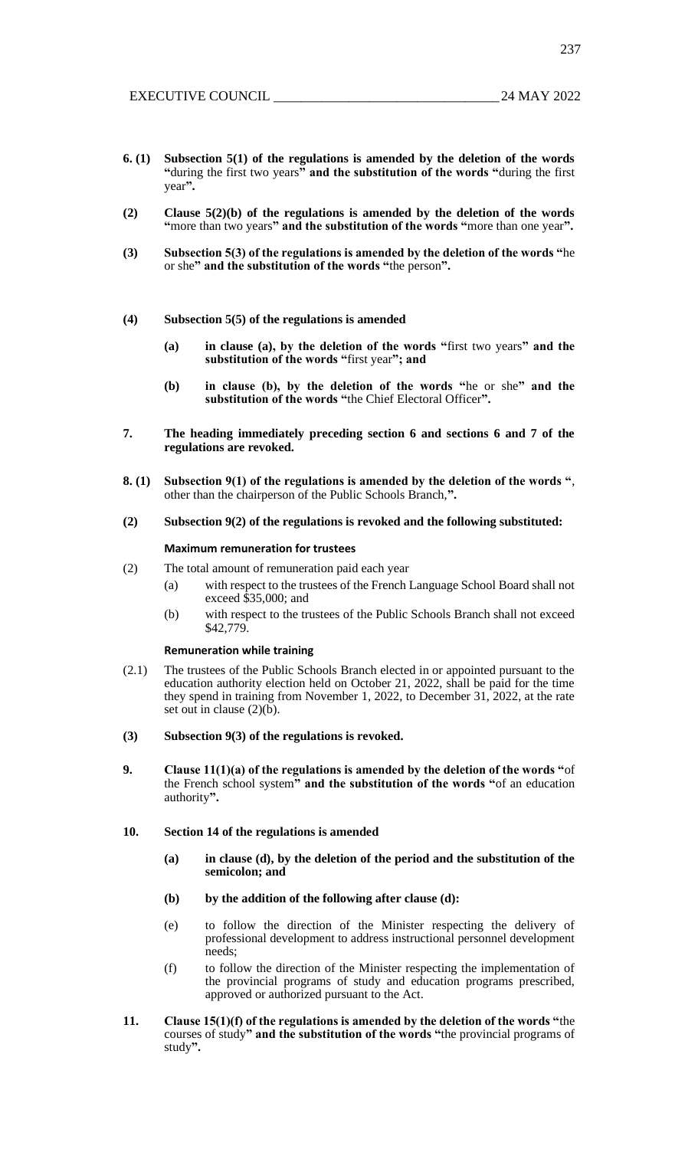- **6. (1) Subsection 5(1) of the regulations is amended by the deletion of the words "**during the first two years**" and the substitution of the words "**during the first year**".**
- **(2) Clause 5(2)(b) of the regulations is amended by the deletion of the words "**more than two years**" and the substitution of the words "**more than one year**".**
- **(3) Subsection 5(3) of the regulations is amended by the deletion of the words "**he or she**" and the substitution of the words "**the person**".**
- **(4) Subsection 5(5) of the regulations is amended**
	- **(a) in clause (a), by the deletion of the words "**first two years**" and the substitution of the words "**first year**"; and**
	- **(b) in clause (b), by the deletion of the words "**he or she**" and the substitution of the words "**the Chief Electoral Officer**".**
- **7. The heading immediately preceding section 6 and sections 6 and 7 of the regulations are revoked.**
- **8. (1) Subsection 9(1) of the regulations is amended by the deletion of the words "**, other than the chairperson of the Public Schools Branch,**".**
- **(2) Subsection 9(2) of the regulations is revoked and the following substituted:**

#### **Maximum remuneration for trustees**

- (2) The total amount of remuneration paid each year
	- (a) with respect to the trustees of the French Language School Board shall not exceed \$35,000; and
	- (b) with respect to the trustees of the Public Schools Branch shall not exceed \$42,779.

#### **Remuneration while training**

- (2.1) The trustees of the Public Schools Branch elected in or appointed pursuant to the education authority election held on October 21, 2022, shall be paid for the time they spend in training from November 1, 2022, to December 31, 2022, at the rate set out in clause  $(2)(b)$ .
- **(3) Subsection 9(3) of the regulations is revoked.**
- **9. Clause 11(1)(a) of the regulations is amended by the deletion of the words "**of the French school system**" and the substitution of the words "**of an education authority**".**
- **10. Section 14 of the regulations is amended**
	- **(a) in clause (d), by the deletion of the period and the substitution of the semicolon; and**
	- **(b) by the addition of the following after clause (d):**
	- (e) to follow the direction of the Minister respecting the delivery of professional development to address instructional personnel development needs;
	- (f) to follow the direction of the Minister respecting the implementation of the provincial programs of study and education programs prescribed, approved or authorized pursuant to the Act.
- **11. Clause 15(1)(f) of the regulations is amended by the deletion of the words "**the courses of study**" and the substitution of the words "**the provincial programs of study**".**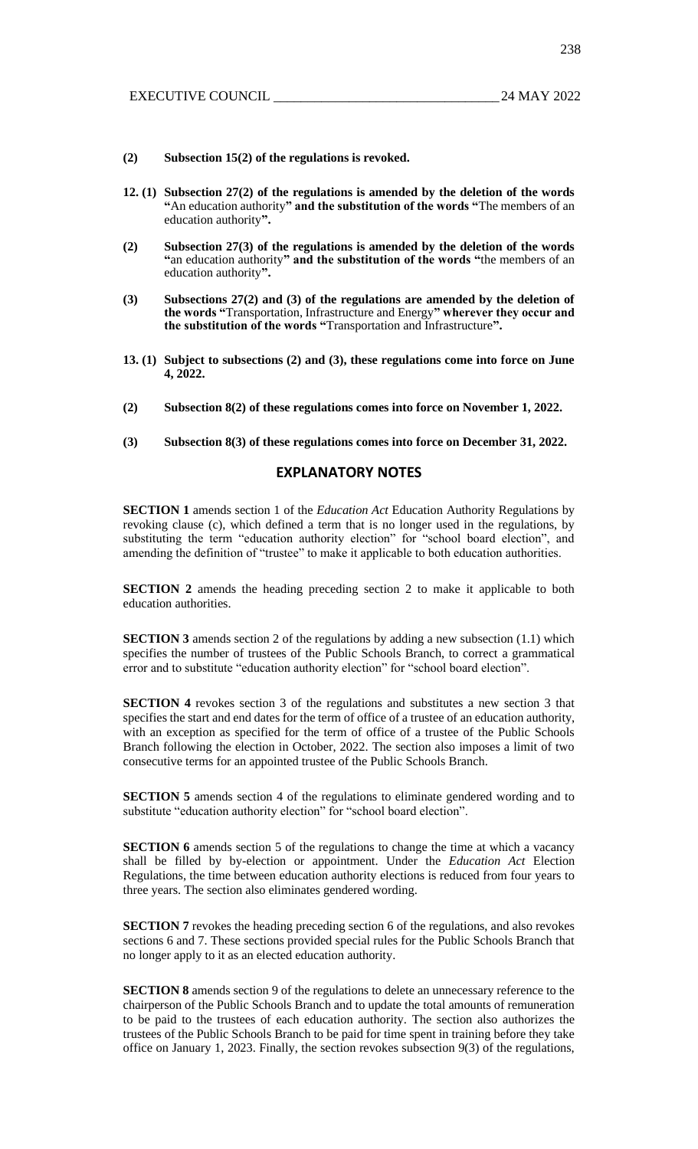- **(2) Subsection 15(2) of the regulations is revoked.**
- **12. (1) Subsection 27(2) of the regulations is amended by the deletion of the words "**An education authority**" and the substitution of the words "**The members of an education authority**".**
- **(2) Subsection 27(3) of the regulations is amended by the deletion of the words "**an education authority**" and the substitution of the words "**the members of an education authority**".**
- **(3) Subsections 27(2) and (3) of the regulations are amended by the deletion of the words "**Transportation, Infrastructure and Energy**" wherever they occur and the substitution of the words "**Transportation and Infrastructure**".**
- **13. (1) Subject to subsections (2) and (3), these regulations come into force on June 4, 2022.**
- **(2) Subsection 8(2) of these regulations comes into force on November 1, 2022.**
- **(3) Subsection 8(3) of these regulations comes into force on December 31, 2022.**

## **EXPLANATORY NOTES**

**SECTION 1** amends section 1 of the *Education Act* Education Authority Regulations by revoking clause (c), which defined a term that is no longer used in the regulations, by substituting the term "education authority election" for "school board election", and amending the definition of "trustee" to make it applicable to both education authorities.

**SECTION 2** amends the heading preceding section 2 to make it applicable to both education authorities.

**SECTION 3** amends section 2 of the regulations by adding a new subsection (1.1) which specifies the number of trustees of the Public Schools Branch, to correct a grammatical error and to substitute "education authority election" for "school board election".

**SECTION 4** revokes section 3 of the regulations and substitutes a new section 3 that specifies the start and end dates for the term of office of a trustee of an education authority, with an exception as specified for the term of office of a trustee of the Public Schools Branch following the election in October, 2022. The section also imposes a limit of two consecutive terms for an appointed trustee of the Public Schools Branch.

**SECTION 5** amends section 4 of the regulations to eliminate gendered wording and to substitute "education authority election" for "school board election".

**SECTION 6** amends section 5 of the regulations to change the time at which a vacancy shall be filled by by-election or appointment. Under the *Education Act* Election Regulations, the time between education authority elections is reduced from four years to three years. The section also eliminates gendered wording.

**SECTION 7** revokes the heading preceding section 6 of the regulations, and also revokes sections 6 and 7. These sections provided special rules for the Public Schools Branch that no longer apply to it as an elected education authority.

**SECTION 8** amends section 9 of the regulations to delete an unnecessary reference to the chairperson of the Public Schools Branch and to update the total amounts of remuneration to be paid to the trustees of each education authority. The section also authorizes the trustees of the Public Schools Branch to be paid for time spent in training before they take office on January 1, 2023. Finally, the section revokes subsection 9(3) of the regulations,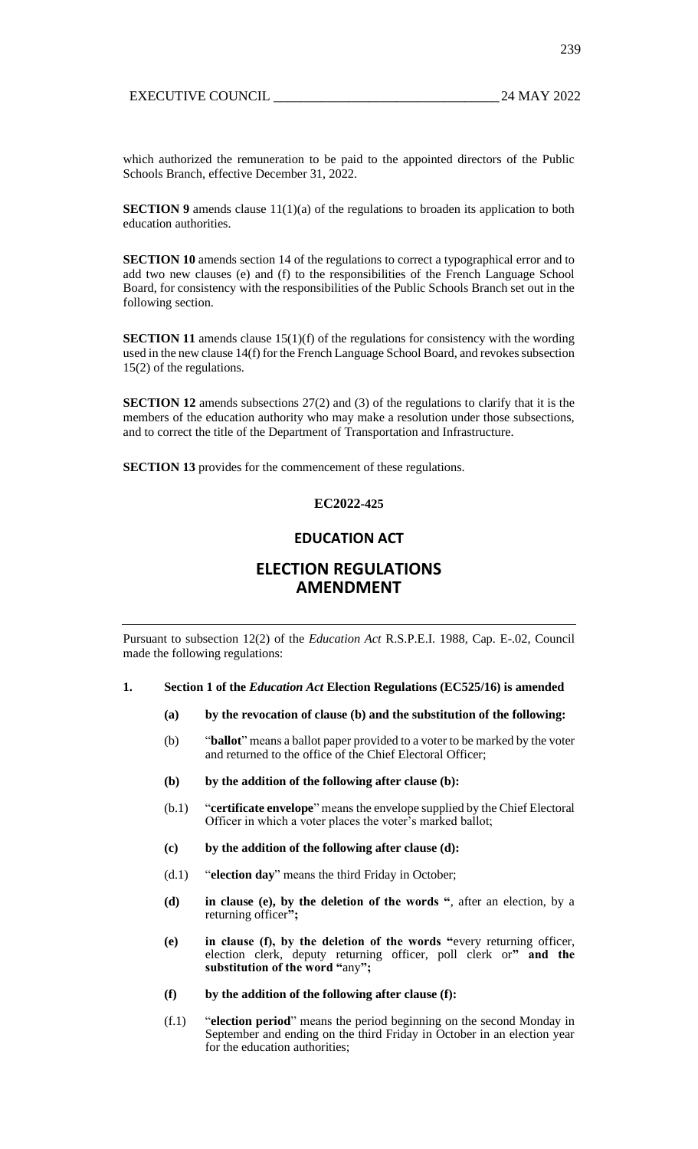which authorized the remuneration to be paid to the appointed directors of the Public Schools Branch, effective December 31, 2022.

**SECTION 9** amends clause 11(1)(a) of the regulations to broaden its application to both education authorities.

**SECTION 10** amends section 14 of the regulations to correct a typographical error and to add two new clauses (e) and (f) to the responsibilities of the French Language School Board, for consistency with the responsibilities of the Public Schools Branch set out in the following section.

**SECTION 11** amends clause 15(1)(f) of the regulations for consistency with the wording used in the new clause 14(f) for the French Language School Board, and revokes subsection 15(2) of the regulations.

**SECTION 12** amends subsections 27(2) and (3) of the regulations to clarify that it is the members of the education authority who may make a resolution under those subsections, and to correct the title of the Department of Transportation and Infrastructure.

**SECTION 13** provides for the commencement of these regulations.

## **EC2022-425**

# **EDUCATION ACT**

# **ELECTION REGULATIONS AMENDMENT**

Pursuant to subsection 12(2) of the *Education Act* R.S.P.E.I. 1988, Cap. E-.02, Council made the following regulations:

#### **1. Section 1 of the** *Education Act* **Election Regulations (EC525/16) is amended**

- **(a) by the revocation of clause (b) and the substitution of the following:**
- (b) "**ballot**" means a ballot paper provided to a voter to be marked by the voter and returned to the office of the Chief Electoral Officer;
- **(b) by the addition of the following after clause (b):**
- (b.1) "**certificate envelope**" means the envelope supplied by the Chief Electoral Officer in which a voter places the voter's marked ballot;
- **(c) by the addition of the following after clause (d):**
- (d.1) "**election day**" means the third Friday in October;
- **(d) in clause (e), by the deletion of the words "**, after an election, by a returning officer**";**
- **(e) in clause (f), by the deletion of the words "**every returning officer, election clerk, deputy returning officer, poll clerk or**" and the substitution of the word "**any**";**
- **(f) by the addition of the following after clause (f):**
- (f.1) "**election period**" means the period beginning on the second Monday in September and ending on the third Friday in October in an election year for the education authorities;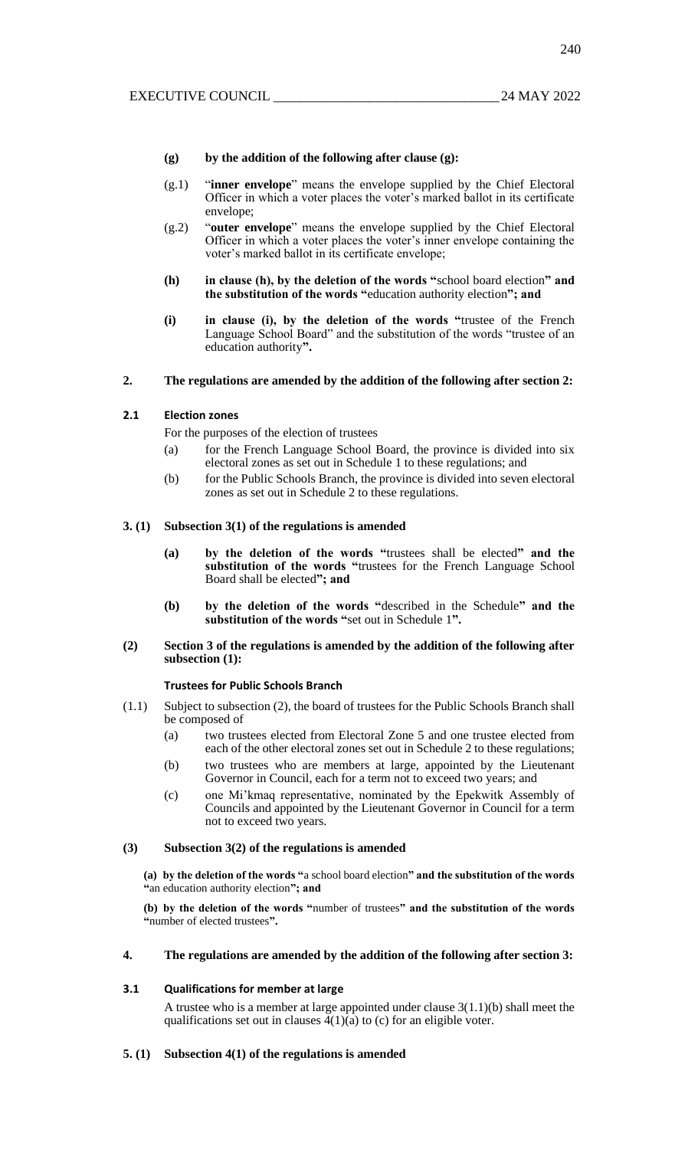#### **(g) by the addition of the following after clause (g):**

- (g.1) "**inner envelope**" means the envelope supplied by the Chief Electoral Officer in which a voter places the voter's marked ballot in its certificate envelope;
- (g.2) "**outer envelope**" means the envelope supplied by the Chief Electoral Officer in which a voter places the voter's inner envelope containing the voter's marked ballot in its certificate envelope;
- **(h) in clause (h), by the deletion of the words "**school board election**" and the substitution of the words "**education authority election**"; and**
- **(i) in clause (i), by the deletion of the words "**trustee of the French Language School Board" and the substitution of the words "trustee of an education authority**".**

### **2. The regulations are amended by the addition of the following after section 2:**

#### **2.1 Election zones**

For the purposes of the election of trustees

- (a) for the French Language School Board, the province is divided into six electoral zones as set out in Schedule 1 to these regulations; and
- (b) for the Public Schools Branch, the province is divided into seven electoral zones as set out in Schedule 2 to these regulations.

#### **3. (1) Subsection 3(1) of the regulations is amended**

- **(a) by the deletion of the words "**trustees shall be elected**" and the substitution of the words "**trustees for the French Language School Board shall be elected**"; and**
- **(b) by the deletion of the words "**described in the Schedule**" and the substitution of the words "**set out in Schedule 1**".**

#### **(2) Section 3 of the regulations is amended by the addition of the following after subsection (1):**

#### **Trustees for Public Schools Branch**

- (1.1) Subject to subsection (2), the board of trustees for the Public Schools Branch shall be composed of
	- (a) two trustees elected from Electoral Zone 5 and one trustee elected from each of the other electoral zones set out in Schedule 2 to these regulations;
	- (b) two trustees who are members at large, appointed by the Lieutenant Governor in Council, each for a term not to exceed two years; and
	- (c) one Mi'kmaq representative, nominated by the Epekwitk Assembly of Councils and appointed by the Lieutenant Governor in Council for a term not to exceed two years.

## **(3) Subsection 3(2) of the regulations is amended**

**(a) by the deletion of the words "**a school board election**" and the substitution of the words "**an education authority election**"; and**

**(b) by the deletion of the words "**number of trustees**" and the substitution of the words "**number of elected trustees**".**

## **4. The regulations are amended by the addition of the following after section 3:**

#### **3.1 Qualifications for member at large**

A trustee who is a member at large appointed under clause 3(1.1)(b) shall meet the qualifications set out in clauses  $4(1)(a)$  to (c) for an eligible voter.

#### **5. (1) Subsection 4(1) of the regulations is amended**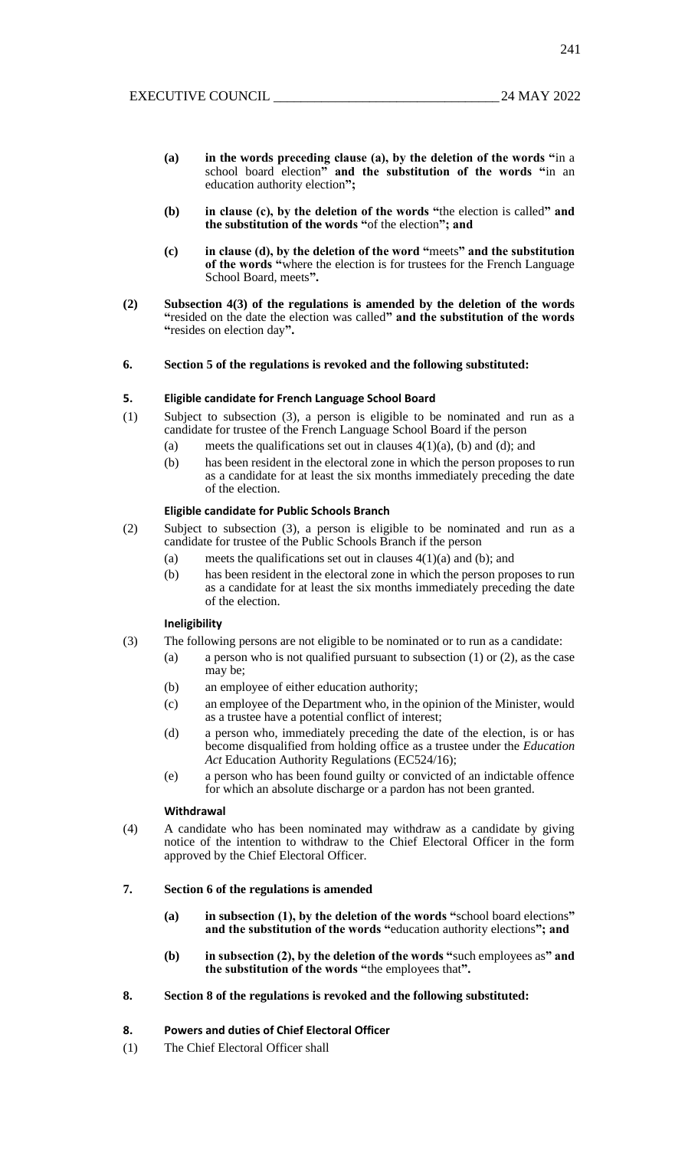- **(a) in the words preceding clause (a), by the deletion of the words "**in a school board election**" and the substitution of the words "**in an education authority election**";**
- **(b) in clause (c), by the deletion of the words "**the election is called**" and the substitution of the words "**of the election**"; and**
- **(c) in clause (d), by the deletion of the word "**meets**" and the substitution of the words "**where the election is for trustees for the French Language School Board, meets**".**
- **(2) Subsection 4(3) of the regulations is amended by the deletion of the words "**resided on the date the election was called**" and the substitution of the words "**resides on election day**".**

#### **6. Section 5 of the regulations is revoked and the following substituted:**

#### **5. Eligible candidate for French Language School Board**

- (1) Subject to subsection (3), a person is eligible to be nominated and run as a candidate for trustee of the French Language School Board if the person
	- (a) meets the qualifications set out in clauses  $4(1)(a)$ , (b) and (d); and
	- (b) has been resident in the electoral zone in which the person proposes to run as a candidate for at least the six months immediately preceding the date of the election.

#### **Eligible candidate for Public Schools Branch**

- (2) Subject to subsection (3), a person is eligible to be nominated and run as a candidate for trustee of the Public Schools Branch if the person
	- (a) meets the qualifications set out in clauses  $4(1)(a)$  and (b); and
	- (b) has been resident in the electoral zone in which the person proposes to run as a candidate for at least the six months immediately preceding the date of the election.

#### **Ineligibility**

- (3) The following persons are not eligible to be nominated or to run as a candidate:
	- (a) a person who is not qualified pursuant to subsection  $(1)$  or  $(2)$ , as the case may be;
	- (b) an employee of either education authority;
	- (c) an employee of the Department who, in the opinion of the Minister, would as a trustee have a potential conflict of interest;
	- (d) a person who, immediately preceding the date of the election, is or has become disqualified from holding office as a trustee under the *Education Act* Education Authority Regulations (EC524/16);
	- (e) a person who has been found guilty or convicted of an indictable offence for which an absolute discharge or a pardon has not been granted.

#### **Withdrawal**

(4) A candidate who has been nominated may withdraw as a candidate by giving notice of the intention to withdraw to the Chief Electoral Officer in the form approved by the Chief Electoral Officer.

#### **7. Section 6 of the regulations is amended**

- **(a) in subsection (1), by the deletion of the words "**school board elections**" and the substitution of the words "**education authority elections**"; and**
- **(b) in subsection (2), by the deletion of the words "**such employees as**" and the substitution of the words "**the employees that**".**

## **8. Section 8 of the regulations is revoked and the following substituted:**

## **8. Powers and duties of Chief Electoral Officer**

(1) The Chief Electoral Officer shall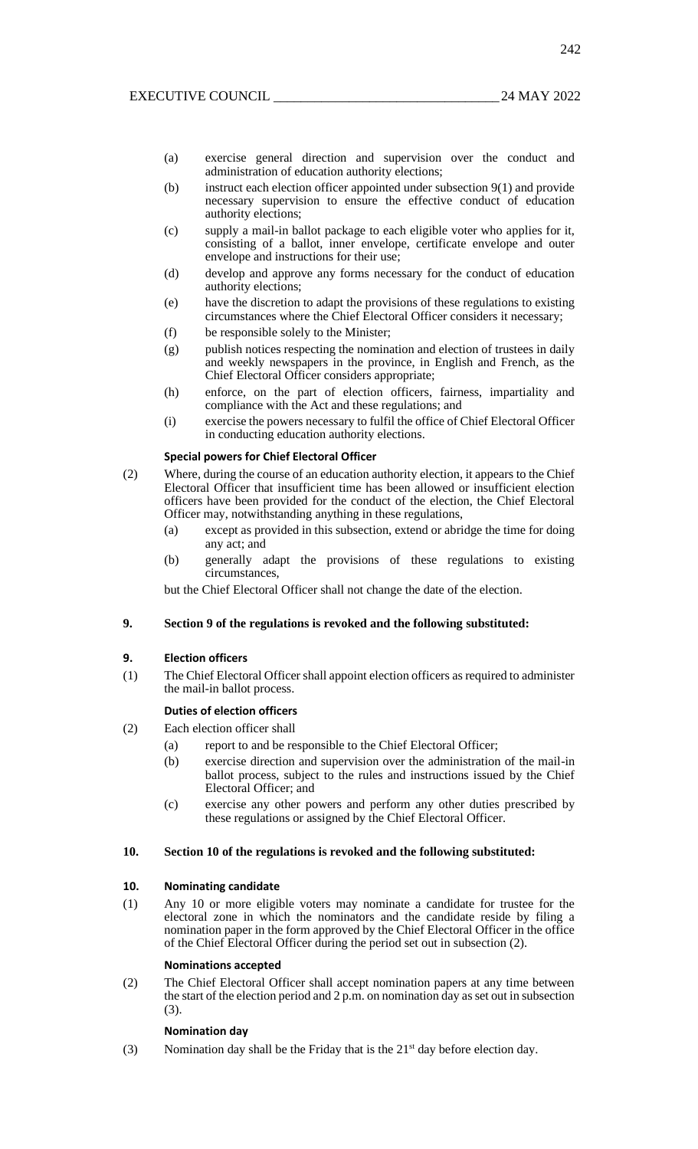- (a) exercise general direction and supervision over the conduct and administration of education authority elections;
- (b) instruct each election officer appointed under subsection 9(1) and provide necessary supervision to ensure the effective conduct of education authority elections;
- (c) supply a mail-in ballot package to each eligible voter who applies for it, consisting of a ballot, inner envelope, certificate envelope and outer envelope and instructions for their use;
- (d) develop and approve any forms necessary for the conduct of education authority elections;
- (e) have the discretion to adapt the provisions of these regulations to existing circumstances where the Chief Electoral Officer considers it necessary;
- (f) be responsible solely to the Minister;
- (g) publish notices respecting the nomination and election of trustees in daily and weekly newspapers in the province, in English and French, as the Chief Electoral Officer considers appropriate;
- (h) enforce, on the part of election officers, fairness, impartiality and compliance with the Act and these regulations; and
- (i) exercise the powers necessary to fulfil the office of Chief Electoral Officer in conducting education authority elections.

## **Special powers for Chief Electoral Officer**

- (2) Where, during the course of an education authority election, it appears to the Chief Electoral Officer that insufficient time has been allowed or insufficient election officers have been provided for the conduct of the election, the Chief Electoral Officer may, notwithstanding anything in these regulations,
	- (a) except as provided in this subsection, extend or abridge the time for doing any act; and
	- (b) generally adapt the provisions of these regulations to existing circumstances,

but the Chief Electoral Officer shall not change the date of the election.

#### **9. Section 9 of the regulations is revoked and the following substituted:**

#### **9. Election officers**

(1) The Chief Electoral Officer shall appoint election officers as required to administer the mail-in ballot process.

## **Duties of election officers**

- (2) Each election officer shall
	- (a) report to and be responsible to the Chief Electoral Officer;
	- (b) exercise direction and supervision over the administration of the mail-in ballot process, subject to the rules and instructions issued by the Chief Electoral Officer; and
	- (c) exercise any other powers and perform any other duties prescribed by these regulations or assigned by the Chief Electoral Officer.

## **10. Section 10 of the regulations is revoked and the following substituted:**

#### **10. Nominating candidate**

(1) Any 10 or more eligible voters may nominate a candidate for trustee for the electoral zone in which the nominators and the candidate reside by filing a nomination paper in the form approved by the Chief Electoral Officer in the office of the Chief Electoral Officer during the period set out in subsection (2).

#### **Nominations accepted**

(2) The Chief Electoral Officer shall accept nomination papers at any time between the start of the election period and 2 p.m. on nomination day as set out in subsection (3).

#### **Nomination day**

(3) Nomination day shall be the Friday that is the  $21<sup>st</sup>$  day before election day.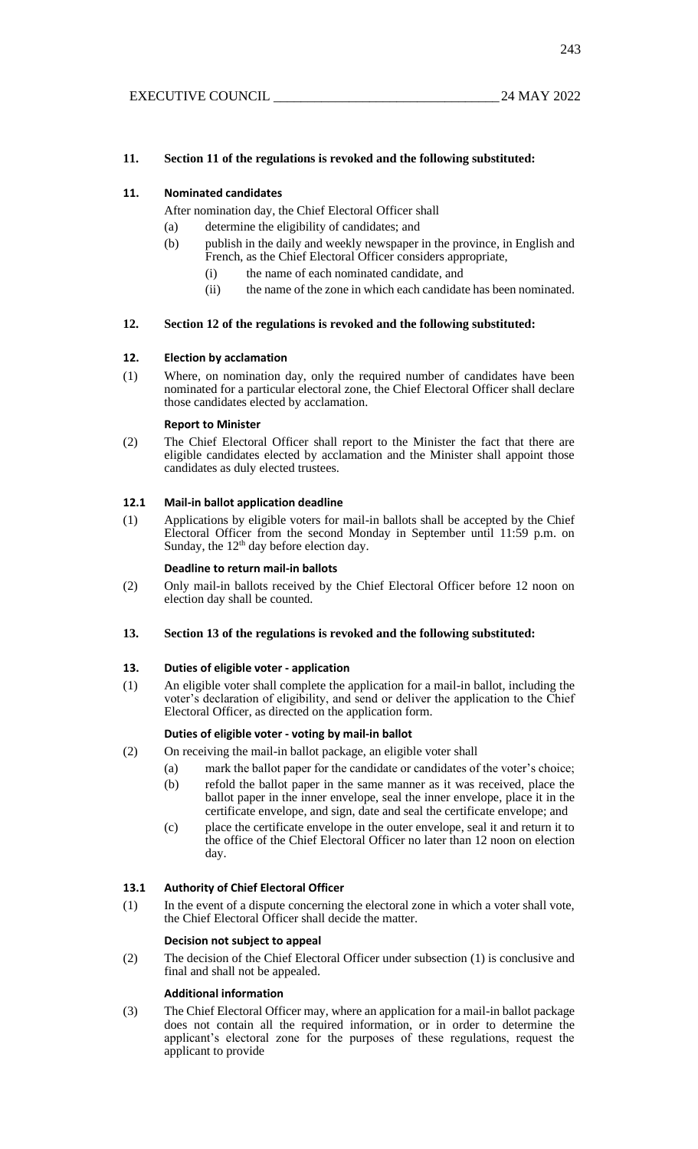## **11. Section 11 of the regulations is revoked and the following substituted:**

## **11. Nominated candidates**

After nomination day, the Chief Electoral Officer shall

- (a) determine the eligibility of candidates; and
- (b) publish in the daily and weekly newspaper in the province, in English and French, as the Chief Electoral Officer considers appropriate,
	- (i) the name of each nominated candidate, and
	- (ii) the name of the zone in which each candidate has been nominated.

### **12. Section 12 of the regulations is revoked and the following substituted:**

### **12. Election by acclamation**

(1) Where, on nomination day, only the required number of candidates have been nominated for a particular electoral zone, the Chief Electoral Officer shall declare those candidates elected by acclamation.

#### **Report to Minister**

(2) The Chief Electoral Officer shall report to the Minister the fact that there are eligible candidates elected by acclamation and the Minister shall appoint those candidates as duly elected trustees.

#### **12.1 Mail-in ballot application deadline**

(1) Applications by eligible voters for mail-in ballots shall be accepted by the Chief Electoral Officer from the second Monday in September until 11:59 p.m. on Sunday, the 12<sup>th</sup> day before election day.

#### **Deadline to return mail-in ballots**

(2) Only mail-in ballots received by the Chief Electoral Officer before 12 noon on election day shall be counted.

## **13. Section 13 of the regulations is revoked and the following substituted:**

## **13. Duties of eligible voter - application**

(1) An eligible voter shall complete the application for a mail-in ballot, including the voter's declaration of eligibility, and send or deliver the application to the Chief Electoral Officer, as directed on the application form.

## **Duties of eligible voter - voting by mail-in ballot**

- (2) On receiving the mail-in ballot package, an eligible voter shall
	- (a) mark the ballot paper for the candidate or candidates of the voter's choice;
	- (b) refold the ballot paper in the same manner as it was received, place the ballot paper in the inner envelope, seal the inner envelope, place it in the certificate envelope, and sign, date and seal the certificate envelope; and
	- (c) place the certificate envelope in the outer envelope, seal it and return it to the office of the Chief Electoral Officer no later than 12 noon on election day.

#### **13.1 Authority of Chief Electoral Officer**

(1) In the event of a dispute concerning the electoral zone in which a voter shall vote, the Chief Electoral Officer shall decide the matter.

#### **Decision not subject to appeal**

(2) The decision of the Chief Electoral Officer under subsection (1) is conclusive and final and shall not be appealed.

#### **Additional information**

(3) The Chief Electoral Officer may, where an application for a mail-in ballot package does not contain all the required information, or in order to determine the applicant's electoral zone for the purposes of these regulations, request the applicant to provide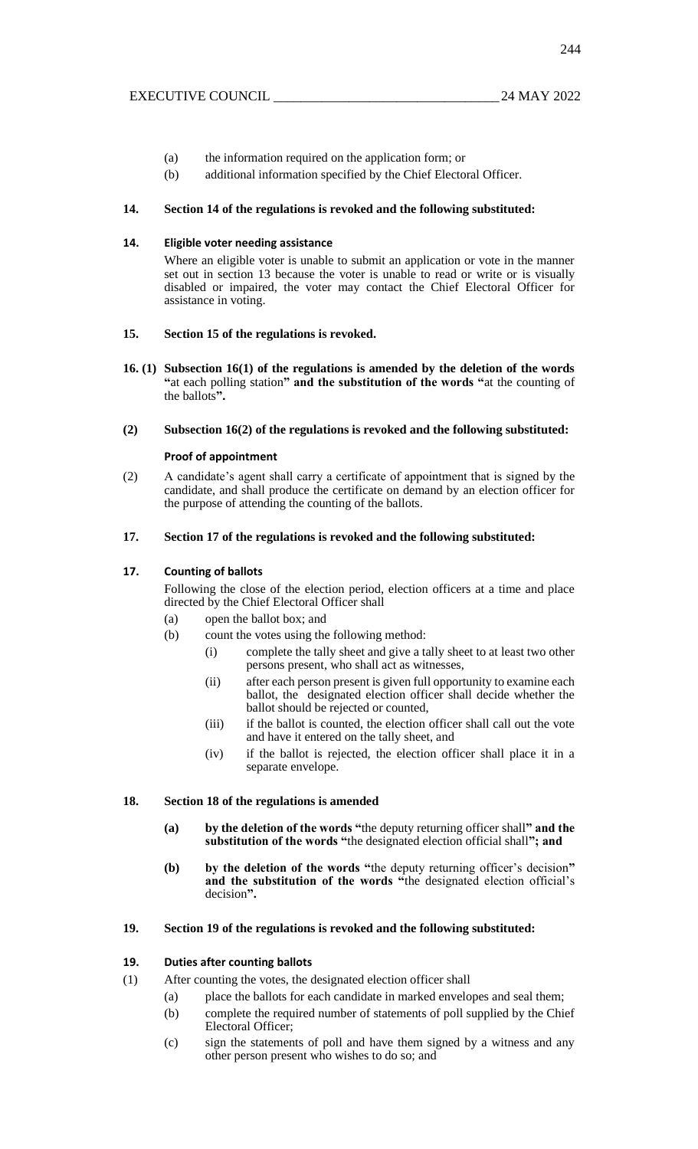- (a) the information required on the application form; or
- (b) additional information specified by the Chief Electoral Officer.

#### **14. Section 14 of the regulations is revoked and the following substituted:**

#### **14. Eligible voter needing assistance**

Where an eligible voter is unable to submit an application or vote in the manner set out in section 13 because the voter is unable to read or write or is visually disabled or impaired, the voter may contact the Chief Electoral Officer for assistance in voting.

#### **15. Section 15 of the regulations is revoked.**

- **16. (1) Subsection 16(1) of the regulations is amended by the deletion of the words "**at each polling station**" and the substitution of the words "**at the counting of the ballots**".**
- **(2) Subsection 16(2) of the regulations is revoked and the following substituted:**

#### **Proof of appointment**

(2) A candidate's agent shall carry a certificate of appointment that is signed by the candidate, and shall produce the certificate on demand by an election officer for the purpose of attending the counting of the ballots.

#### **17. Section 17 of the regulations is revoked and the following substituted:**

#### **17. Counting of ballots**

Following the close of the election period, election officers at a time and place directed by the Chief Electoral Officer shall

- (a) open the ballot box; and
- (b) count the votes using the following method:
	- (i) complete the tally sheet and give a tally sheet to at least two other persons present, who shall act as witnesses,
	- (ii) after each person present is given full opportunity to examine each ballot, the designated election officer shall decide whether the ballot should be rejected or counted,
	- (iii) if the ballot is counted, the election officer shall call out the vote and have it entered on the tally sheet, and
	- (iv) if the ballot is rejected, the election officer shall place it in a separate envelope.

#### **18. Section 18 of the regulations is amended**

- **(a) by the deletion of the words "**the deputy returning officer shall**" and the substitution of the words "**the designated election official shall**"; and**
- **(b) by the deletion of the words "**the deputy returning officer's decision**" and the substitution of the words "**the designated election official's decision**".**

#### **19. Section 19 of the regulations is revoked and the following substituted:**

#### **19. Duties after counting ballots**

- (1) After counting the votes, the designated election officer shall
	- (a) place the ballots for each candidate in marked envelopes and seal them;
		- (b) complete the required number of statements of poll supplied by the Chief Electoral Officer;
		- (c) sign the statements of poll and have them signed by a witness and any other person present who wishes to do so; and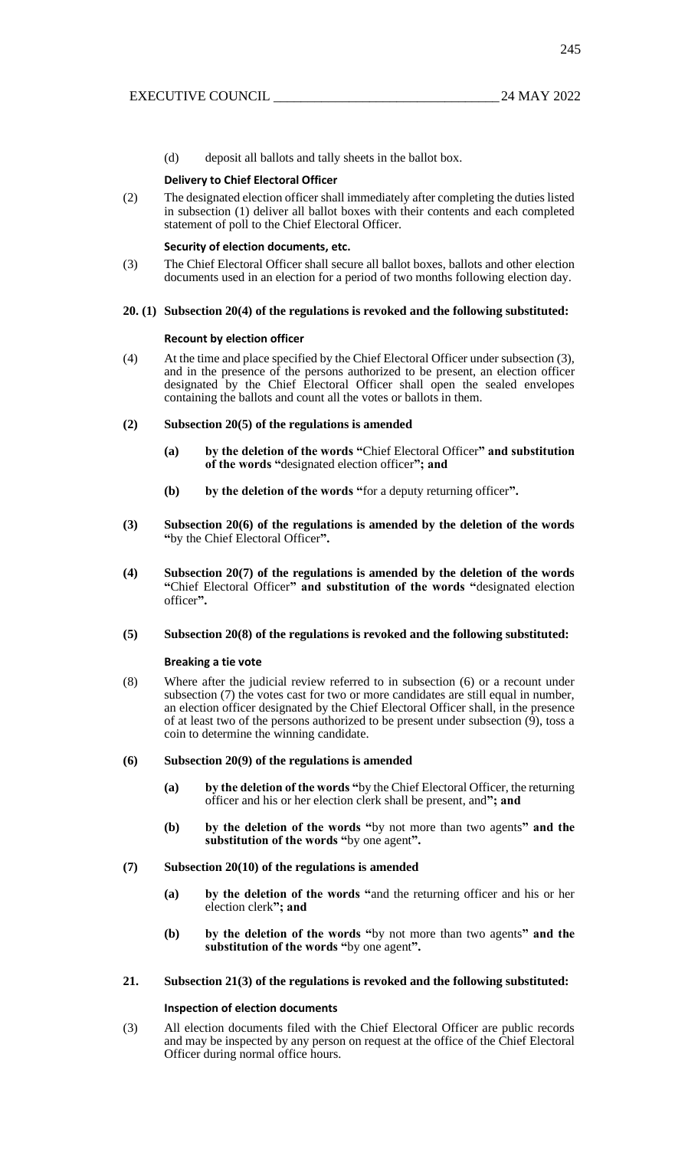(d) deposit all ballots and tally sheets in the ballot box.

#### **Delivery to Chief Electoral Officer**

(2) The designated election officer shall immediately after completing the duties listed in subsection (1) deliver all ballot boxes with their contents and each completed statement of poll to the Chief Electoral Officer.

#### **Security of election documents, etc.**

(3) The Chief Electoral Officer shall secure all ballot boxes, ballots and other election documents used in an election for a period of two months following election day.

#### **20. (1) Subsection 20(4) of the regulations is revoked and the following substituted:**

#### **Recount by election officer**

(4) At the time and place specified by the Chief Electoral Officer under subsection (3), and in the presence of the persons authorized to be present, an election officer designated by the Chief Electoral Officer shall open the sealed envelopes containing the ballots and count all the votes or ballots in them.

#### **(2) Subsection 20(5) of the regulations is amended**

- **(a) by the deletion of the words "**Chief Electoral Officer**" and substitution of the words "**designated election officer**"; and**
- **(b) by the deletion of the words "**for a deputy returning officer**".**
- **(3) Subsection 20(6) of the regulations is amended by the deletion of the words "**by the Chief Electoral Officer**".**
- **(4) Subsection 20(7) of the regulations is amended by the deletion of the words "**Chief Electoral Officer**" and substitution of the words "**designated election officer**".**

#### **(5) Subsection 20(8) of the regulations is revoked and the following substituted:**

#### **Breaking a tie vote**

(8) Where after the judicial review referred to in subsection (6) or a recount under subsection (7) the votes cast for two or more candidates are still equal in number, an election officer designated by the Chief Electoral Officer shall, in the presence of at least two of the persons authorized to be present under subsection  $(\tilde{9})$ , toss a coin to determine the winning candidate.

#### **(6) Subsection 20(9) of the regulations is amended**

- **(a) by the deletion of the words "**by the Chief Electoral Officer, the returning officer and his or her election clerk shall be present, and**"; and**
- **(b) by the deletion of the words "**by not more than two agents**" and the substitution of the words "**by one agent**".**

#### **(7) Subsection 20(10) of the regulations is amended**

- **(a) by the deletion of the words "**and the returning officer and his or her election clerk**"; and**
- **(b) by the deletion of the words "**by not more than two agents**" and the substitution of the words "**by one agent**".**

#### **21. Subsection 21(3) of the regulations is revoked and the following substituted:**

#### **Inspection of election documents**

(3) All election documents filed with the Chief Electoral Officer are public records and may be inspected by any person on request at the office of the Chief Electoral Officer during normal office hours.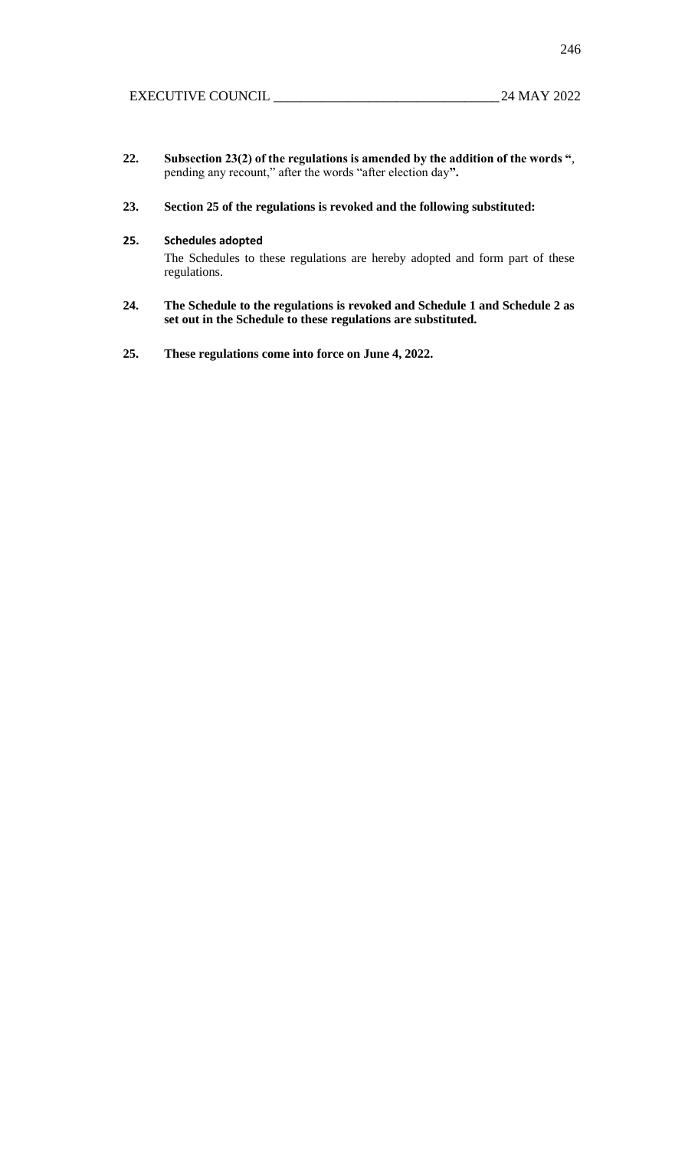246

- **22. Subsection 23(2) of the regulations is amended by the addition of the words "**, pending any recount," after the words "after election day**".**
- **23. Section 25 of the regulations is revoked and the following substituted:**

### **25. Schedules adopted**

The Schedules to these regulations are hereby adopted and form part of these regulations.

- **24. The Schedule to the regulations is revoked and Schedule 1 and Schedule 2 as set out in the Schedule to these regulations are substituted.**
- **25. These regulations come into force on June 4, 2022.**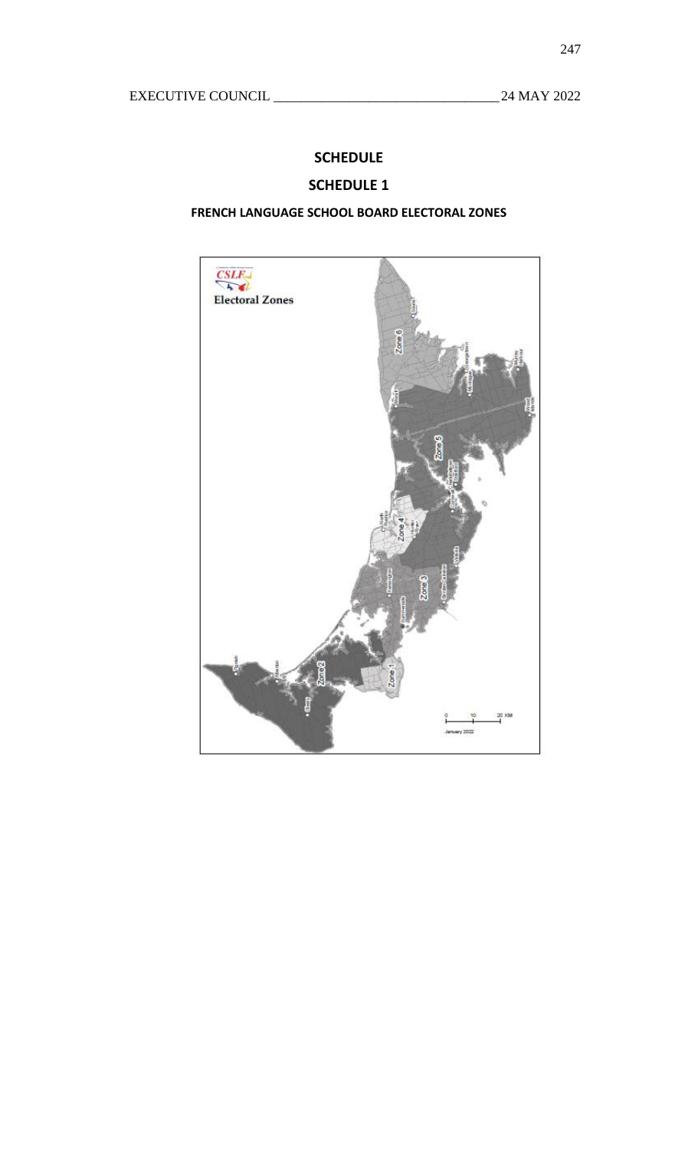# **SCHEDULE**

# **SCHEDULE 1**

# **FRENCH LANGUAGE SCHOOL BOARD ELECTORAL ZONES**

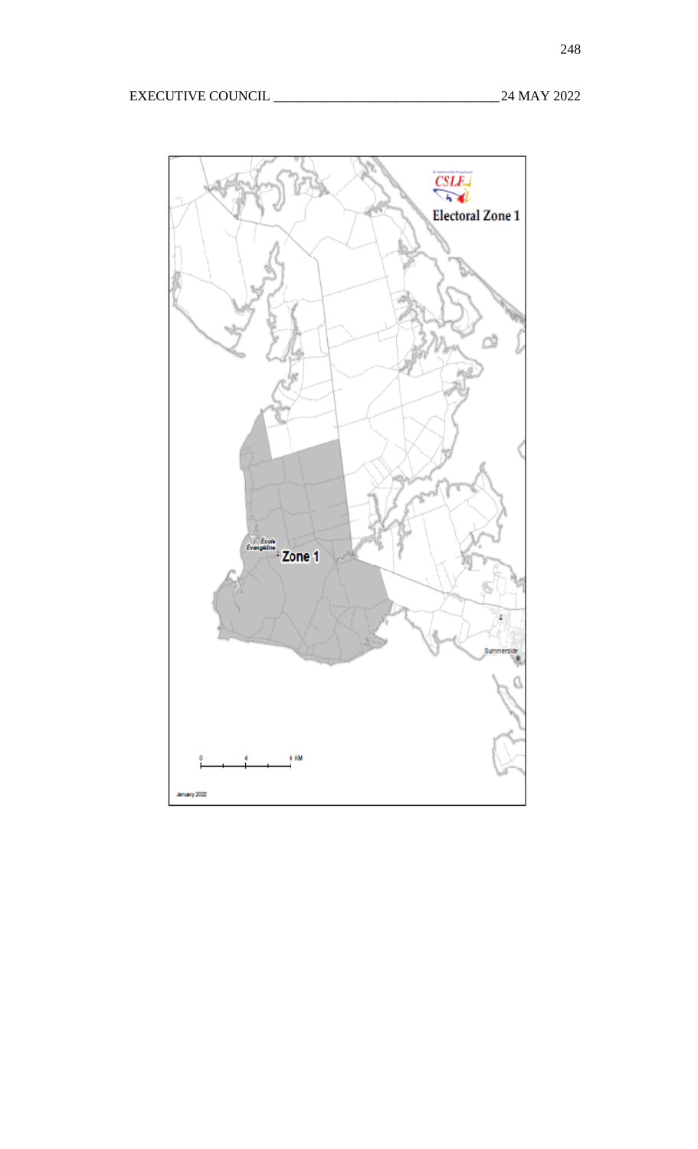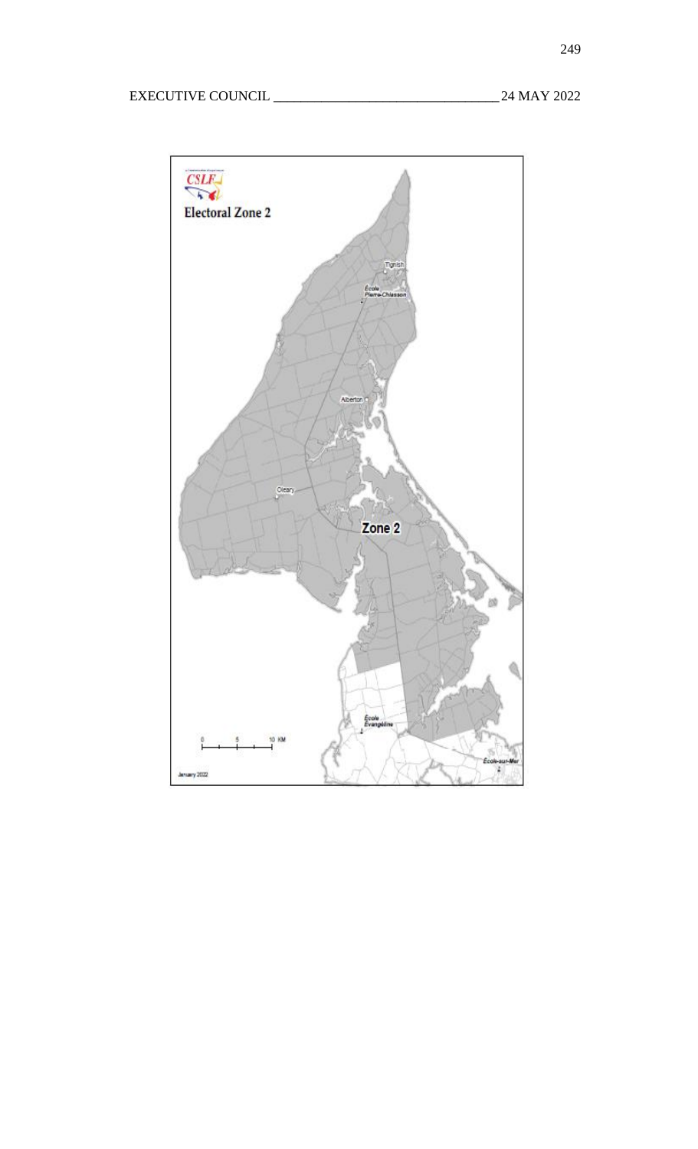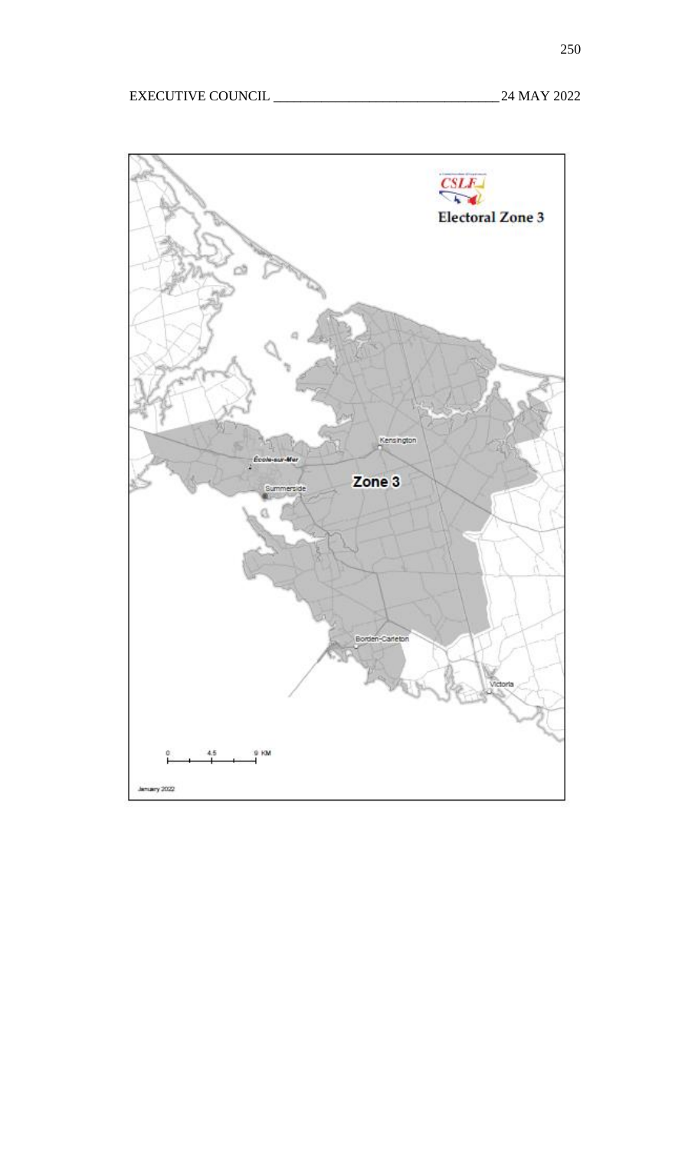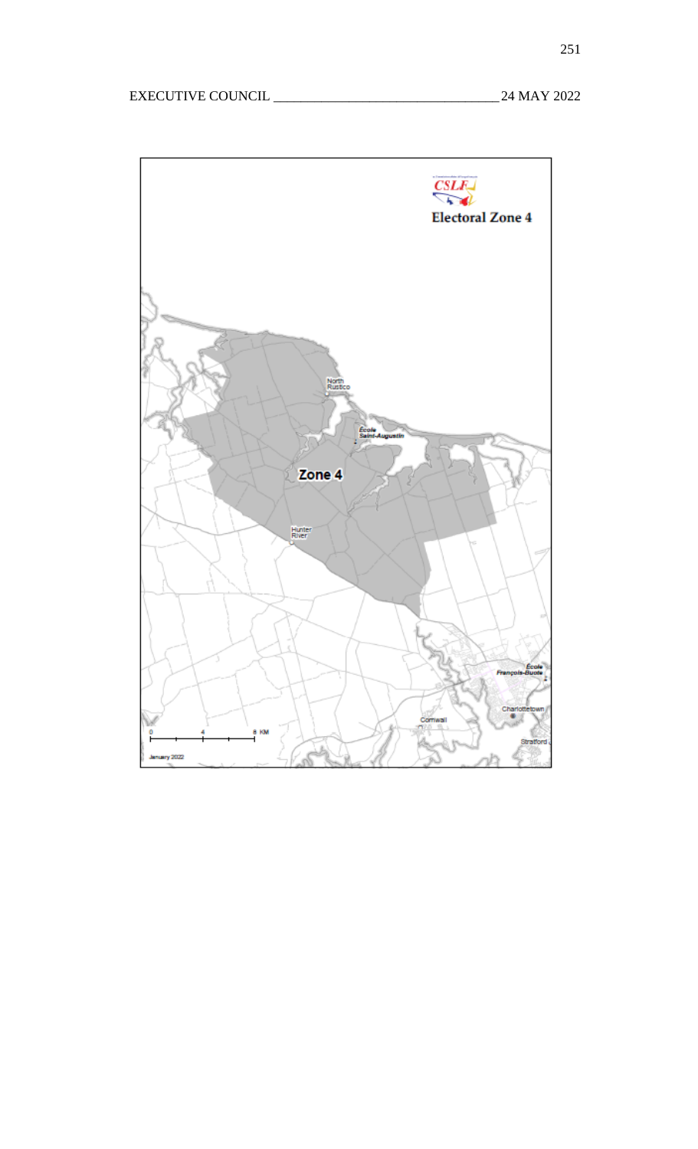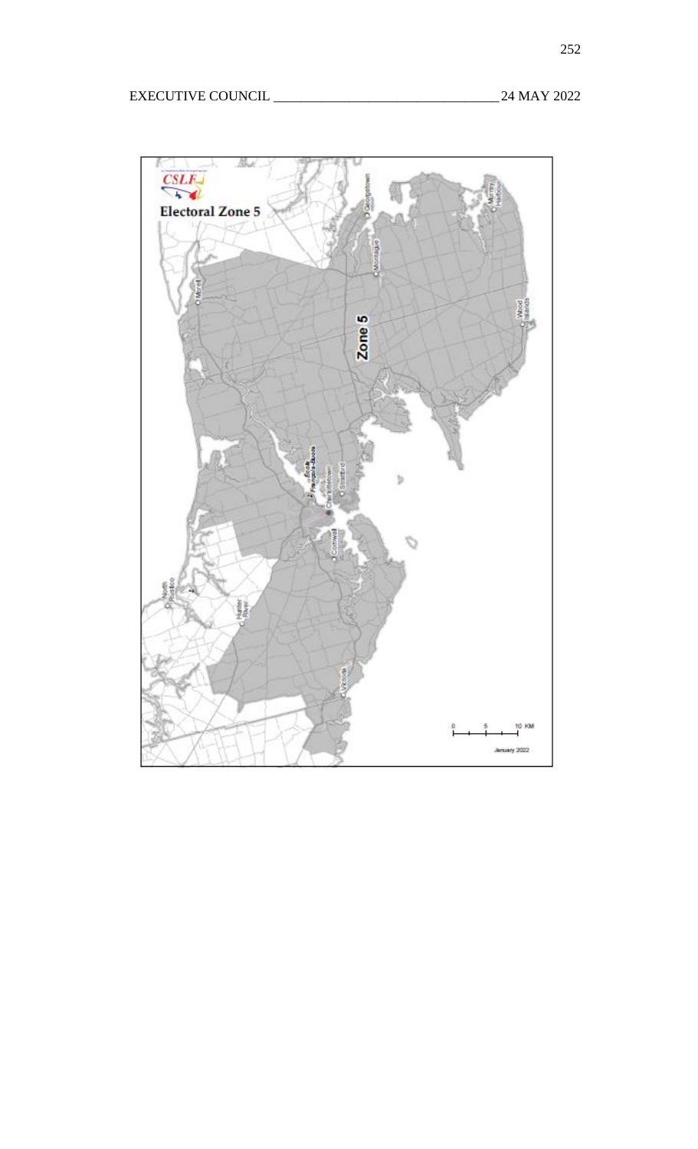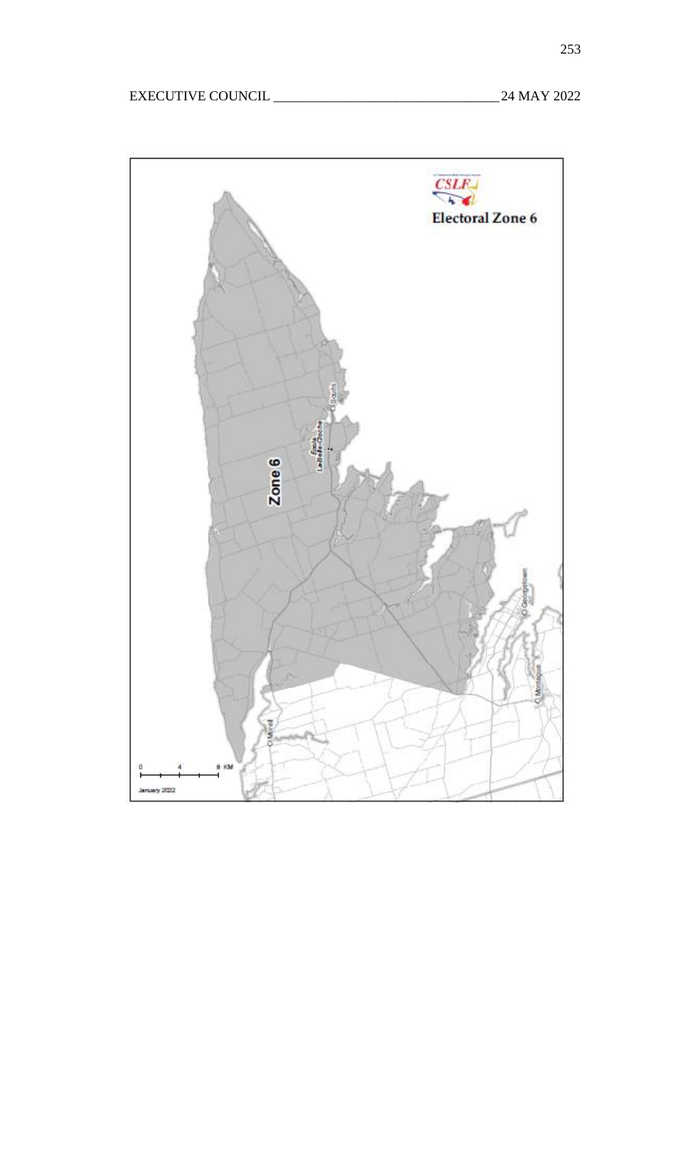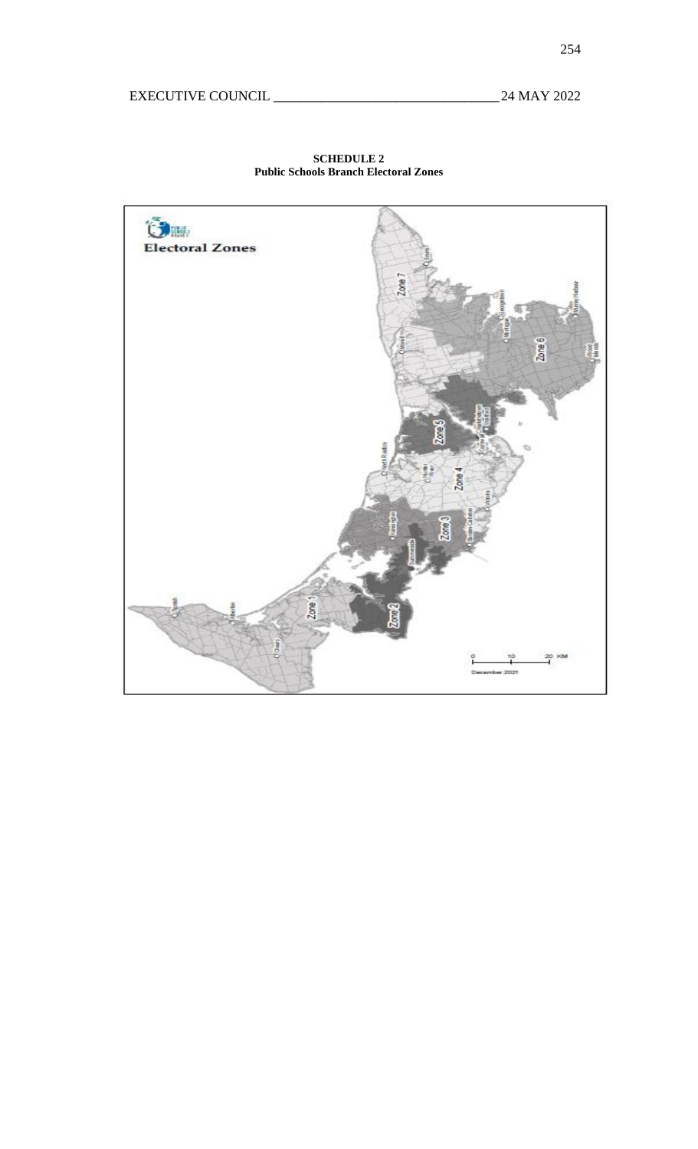

**SCHEDULE 2 Public Schools Branch Electoral Zones**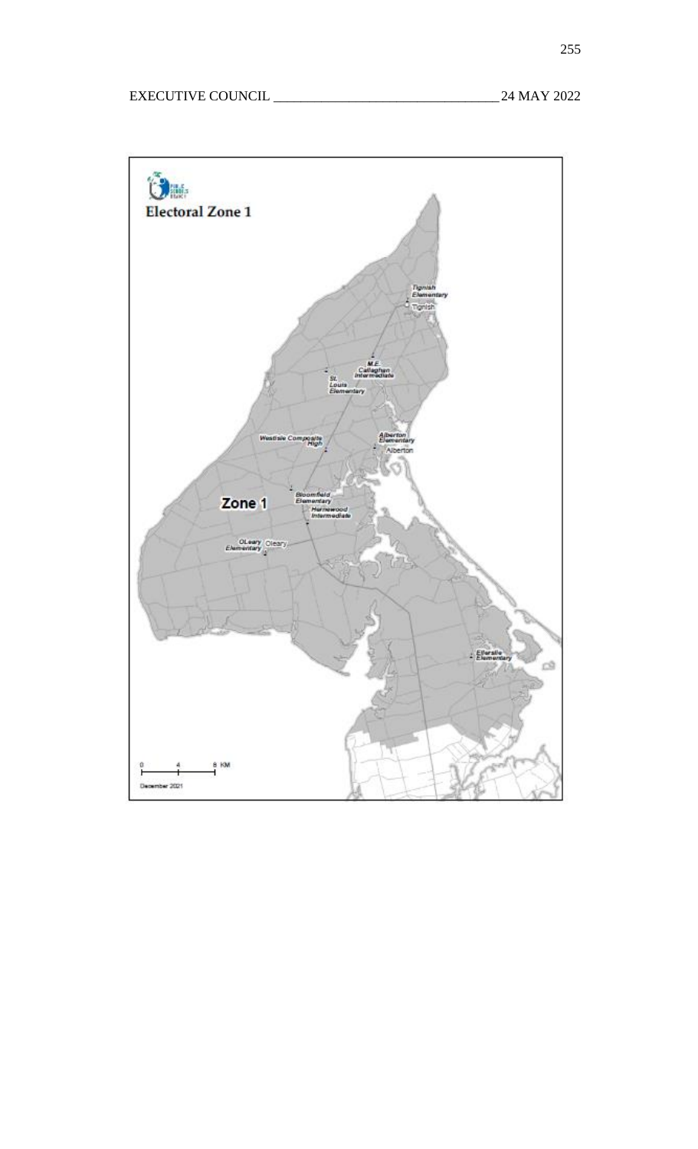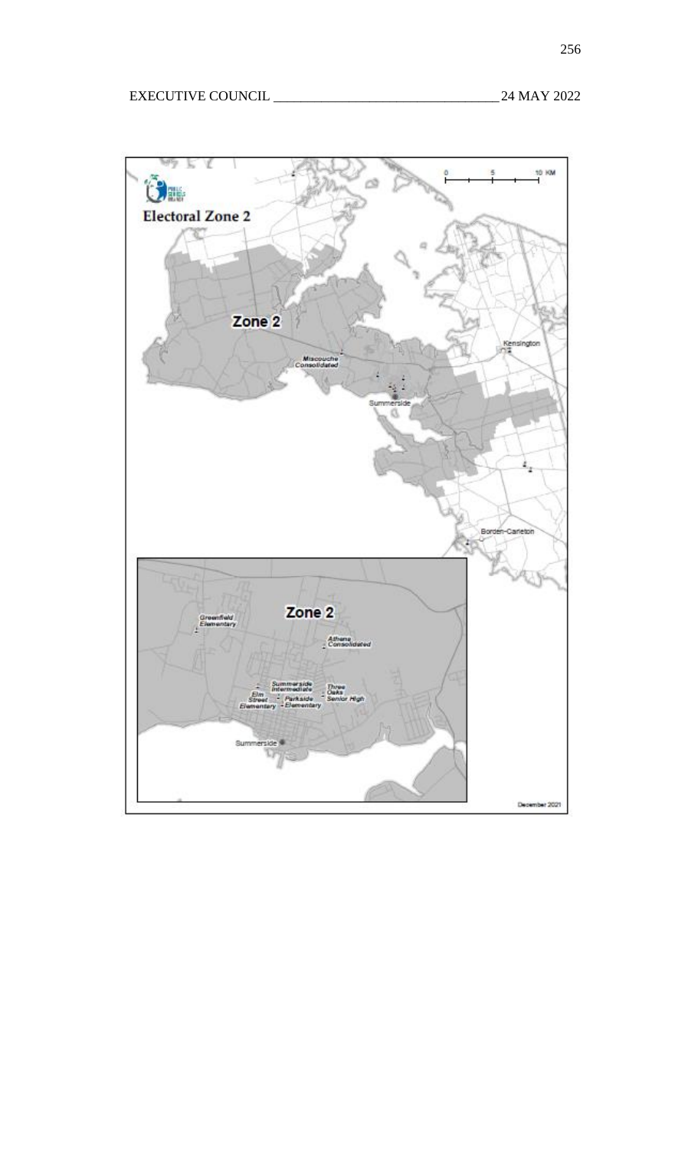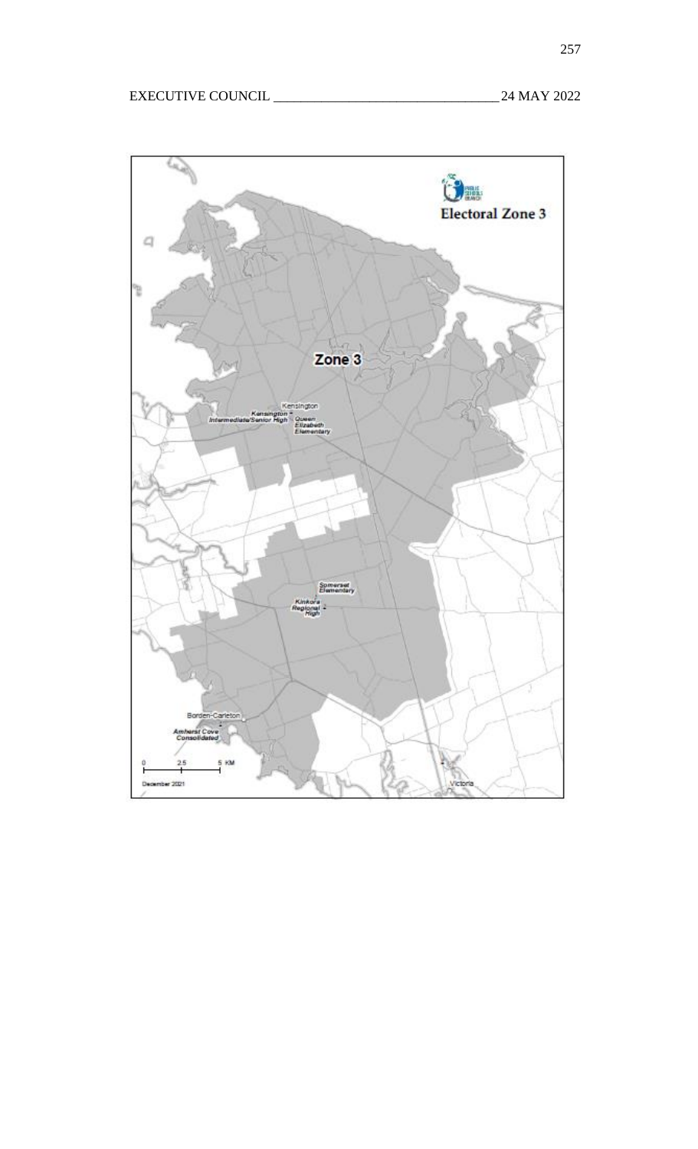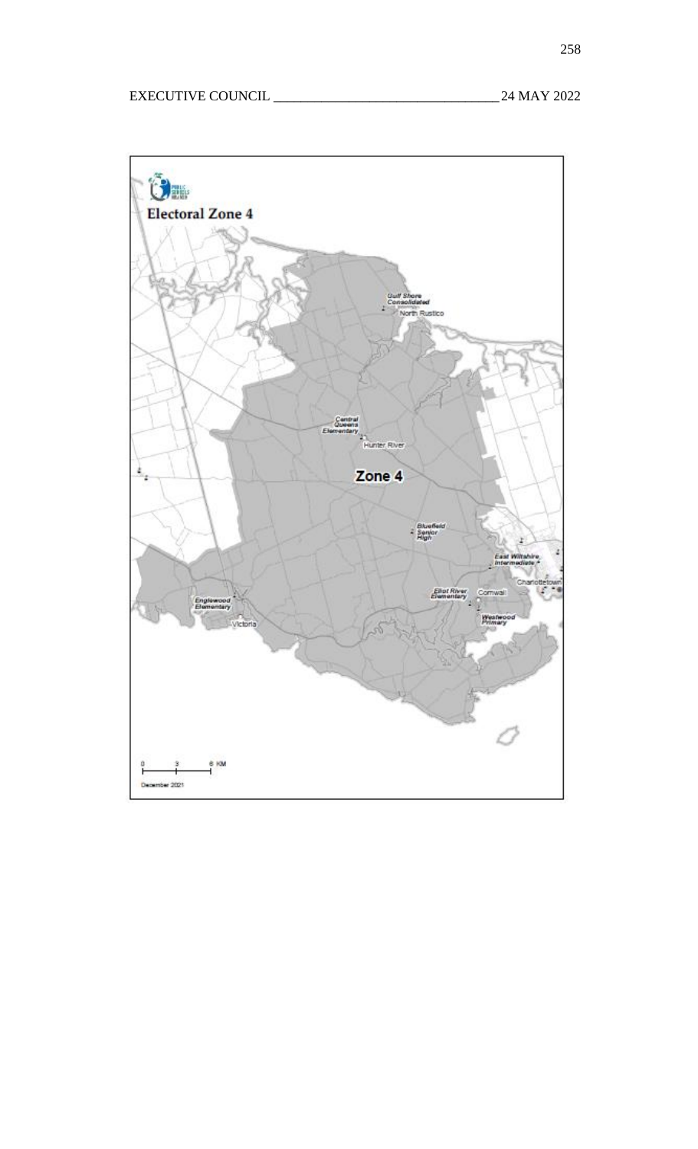

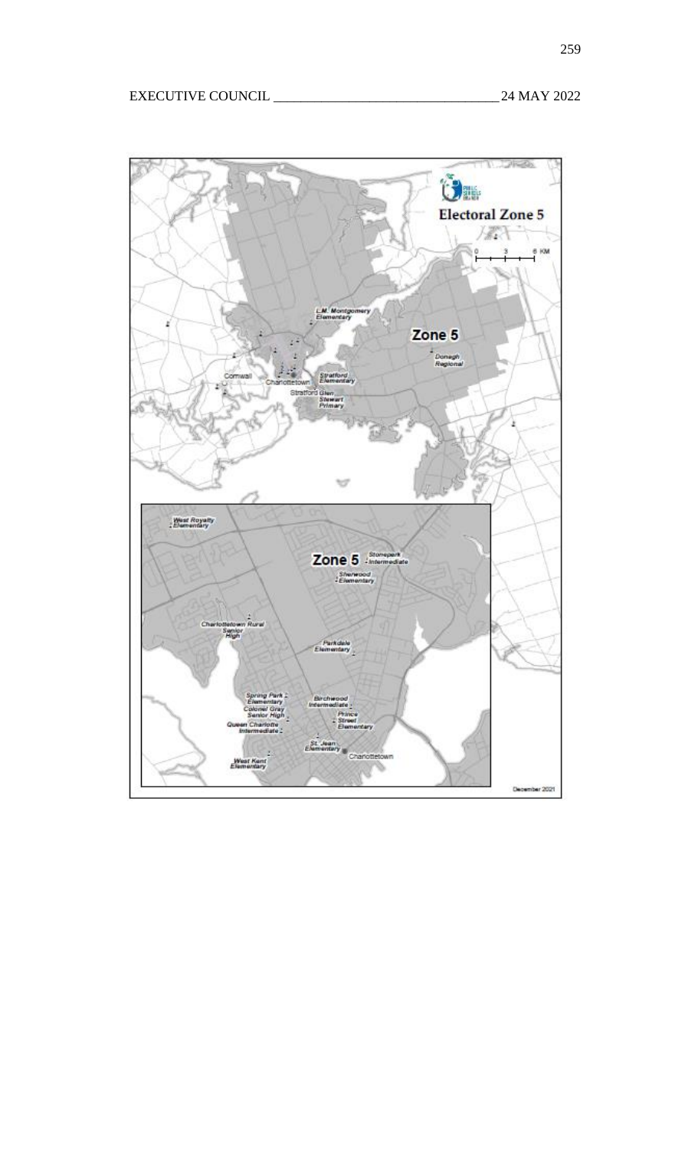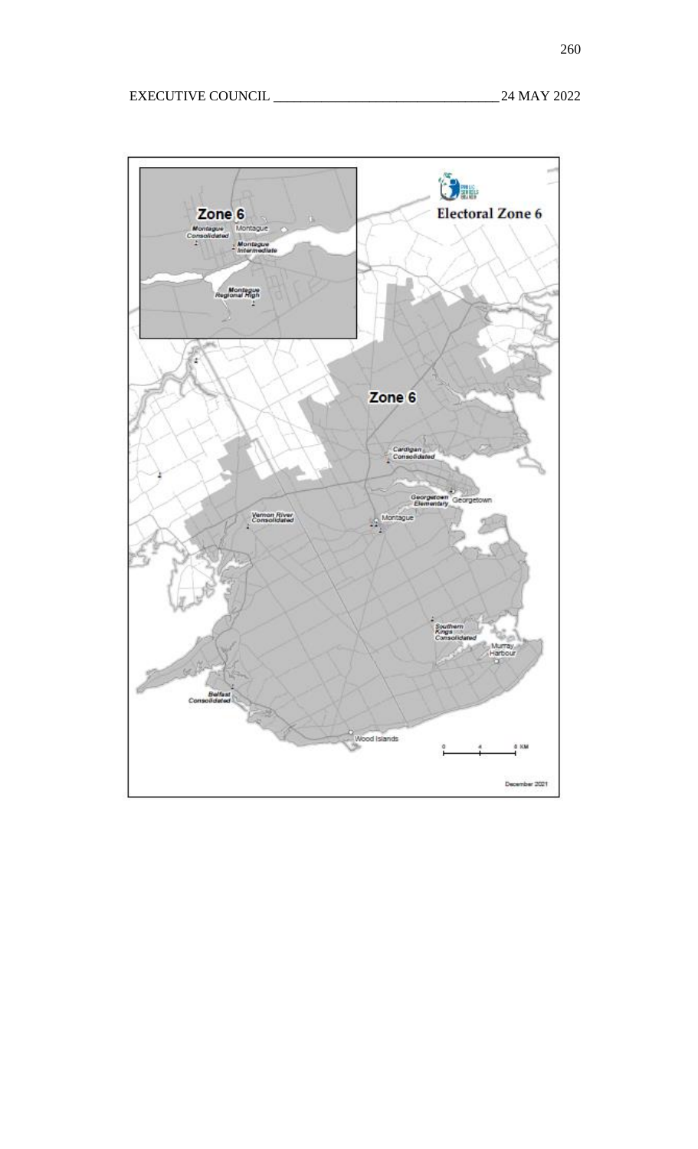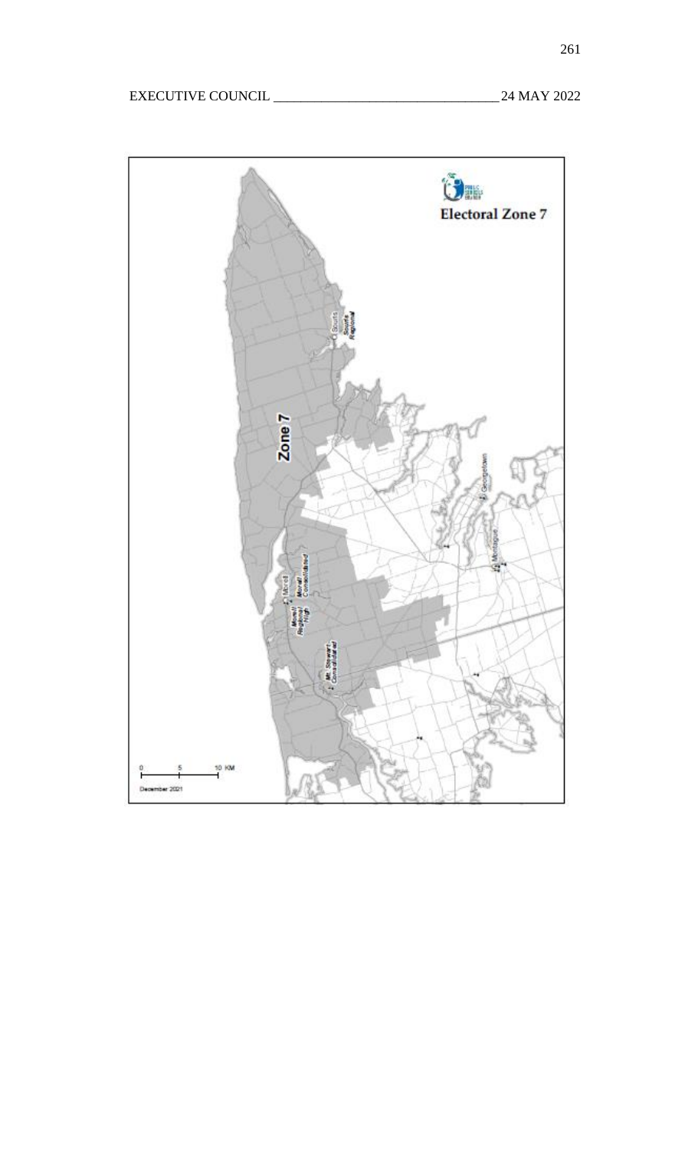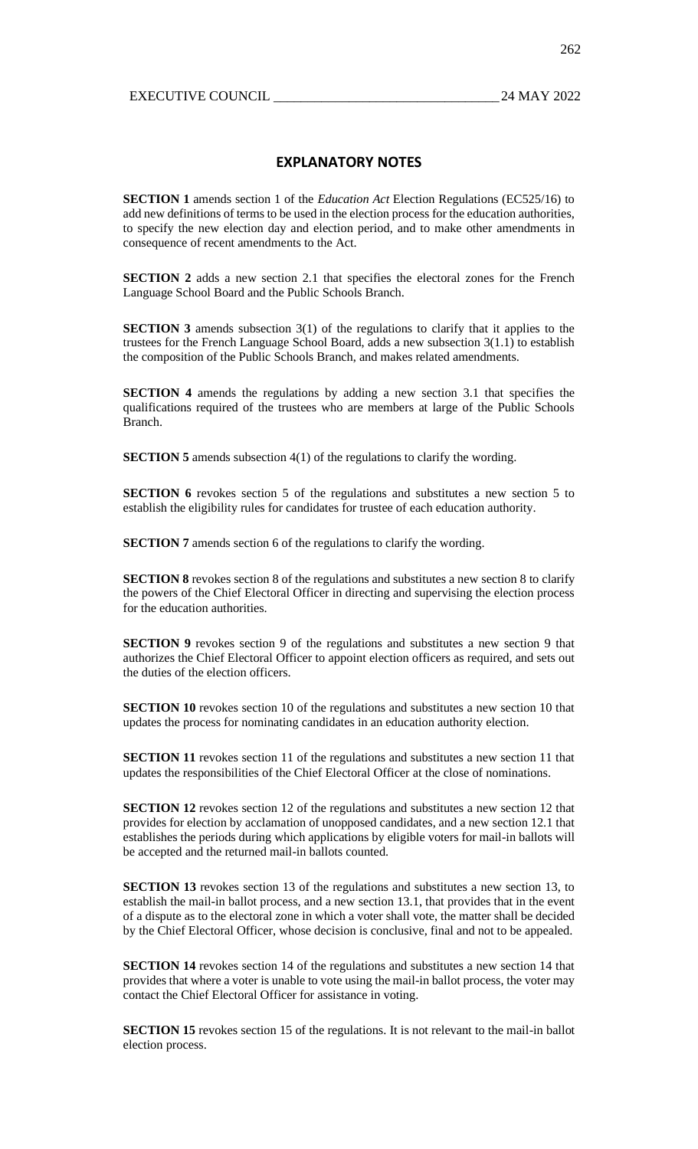# **EXPLANATORY NOTES**

**SECTION 1** amends section 1 of the *Education Act* Election Regulations (EC525/16) to add new definitions of terms to be used in the election process for the education authorities, to specify the new election day and election period, and to make other amendments in consequence of recent amendments to the Act.

**SECTION 2** adds a new section 2.1 that specifies the electoral zones for the French Language School Board and the Public Schools Branch.

**SECTION 3** amends subsection 3(1) of the regulations to clarify that it applies to the trustees for the French Language School Board, adds a new subsection 3(1.1) to establish the composition of the Public Schools Branch, and makes related amendments.

**SECTION 4** amends the regulations by adding a new section 3.1 that specifies the qualifications required of the trustees who are members at large of the Public Schools Branch.

**SECTION 5** amends subsection 4(1) of the regulations to clarify the wording.

**SECTION 6** revokes section 5 of the regulations and substitutes a new section 5 to establish the eligibility rules for candidates for trustee of each education authority.

**SECTION 7** amends section 6 of the regulations to clarify the wording.

**SECTION 8** revokes section 8 of the regulations and substitutes a new section 8 to clarify the powers of the Chief Electoral Officer in directing and supervising the election process for the education authorities.

**SECTION 9** revokes section 9 of the regulations and substitutes a new section 9 that authorizes the Chief Electoral Officer to appoint election officers as required, and sets out the duties of the election officers.

**SECTION 10** revokes section 10 of the regulations and substitutes a new section 10 that updates the process for nominating candidates in an education authority election.

**SECTION 11** revokes section 11 of the regulations and substitutes a new section 11 that updates the responsibilities of the Chief Electoral Officer at the close of nominations.

**SECTION 12** revokes section 12 of the regulations and substitutes a new section 12 that provides for election by acclamation of unopposed candidates, and a new section 12.1 that establishes the periods during which applications by eligible voters for mail-in ballots will be accepted and the returned mail-in ballots counted.

**SECTION 13** revokes section 13 of the regulations and substitutes a new section 13, to establish the mail-in ballot process, and a new section 13.1, that provides that in the event of a dispute as to the electoral zone in which a voter shall vote, the matter shall be decided by the Chief Electoral Officer, whose decision is conclusive, final and not to be appealed.

**SECTION 14** revokes section 14 of the regulations and substitutes a new section 14 that provides that where a voter is unable to vote using the mail-in ballot process, the voter may contact the Chief Electoral Officer for assistance in voting.

**SECTION 15** revokes section 15 of the regulations. It is not relevant to the mail-in ballot election process.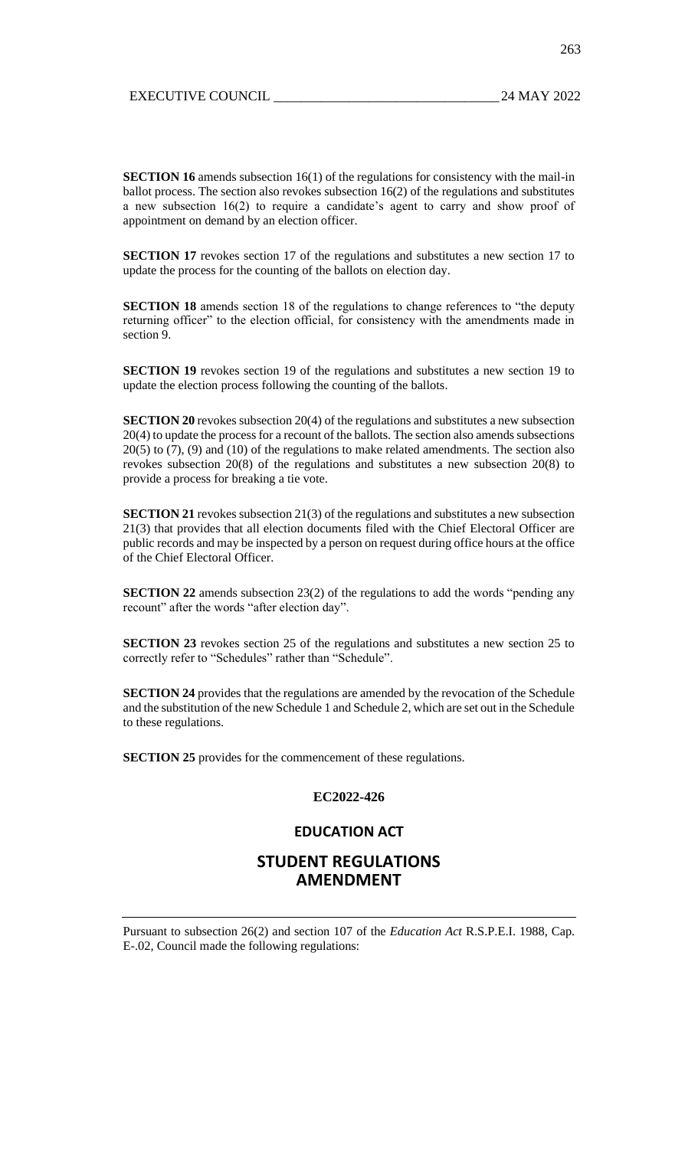**SECTION 16** amends subsection 16(1) of the regulations for consistency with the mail-in ballot process. The section also revokes subsection 16(2) of the regulations and substitutes a new subsection 16(2) to require a candidate's agent to carry and show proof of appointment on demand by an election officer.

**SECTION 17** revokes section 17 of the regulations and substitutes a new section 17 to update the process for the counting of the ballots on election day.

**SECTION 18** amends section 18 of the regulations to change references to "the deputy returning officer" to the election official, for consistency with the amendments made in section 9.

**SECTION 19** revokes section 19 of the regulations and substitutes a new section 19 to update the election process following the counting of the ballots.

**SECTION 20** revokes subsection 20(4) of the regulations and substitutes a new subsection 20(4) to update the process for a recount of the ballots. The section also amends subsections 20(5) to (7), (9) and (10) of the regulations to make related amendments. The section also revokes subsection 20(8) of the regulations and substitutes a new subsection 20(8) to provide a process for breaking a tie vote.

**SECTION 21** revokes subsection 21(3) of the regulations and substitutes a new subsection 21(3) that provides that all election documents filed with the Chief Electoral Officer are public records and may be inspected by a person on request during office hours at the office of the Chief Electoral Officer.

**SECTION 22** amends subsection 23(2) of the regulations to add the words "pending any recount" after the words "after election day".

**SECTION 23** revokes section 25 of the regulations and substitutes a new section 25 to correctly refer to "Schedules" rather than "Schedule".

**SECTION 24** provides that the regulations are amended by the revocation of the Schedule and the substitution of the new Schedule 1 and Schedule 2, which are set out in the Schedule to these regulations.

**SECTION 25** provides for the commencement of these regulations.

## **EC2022-426**

## **EDUCATION ACT**

# **STUDENT REGULATIONS AMENDMENT**

Pursuant to subsection 26(2) and section 107 of the *Education Act* R.S.P.E.I. 1988, Cap. E-.02, Council made the following regulations: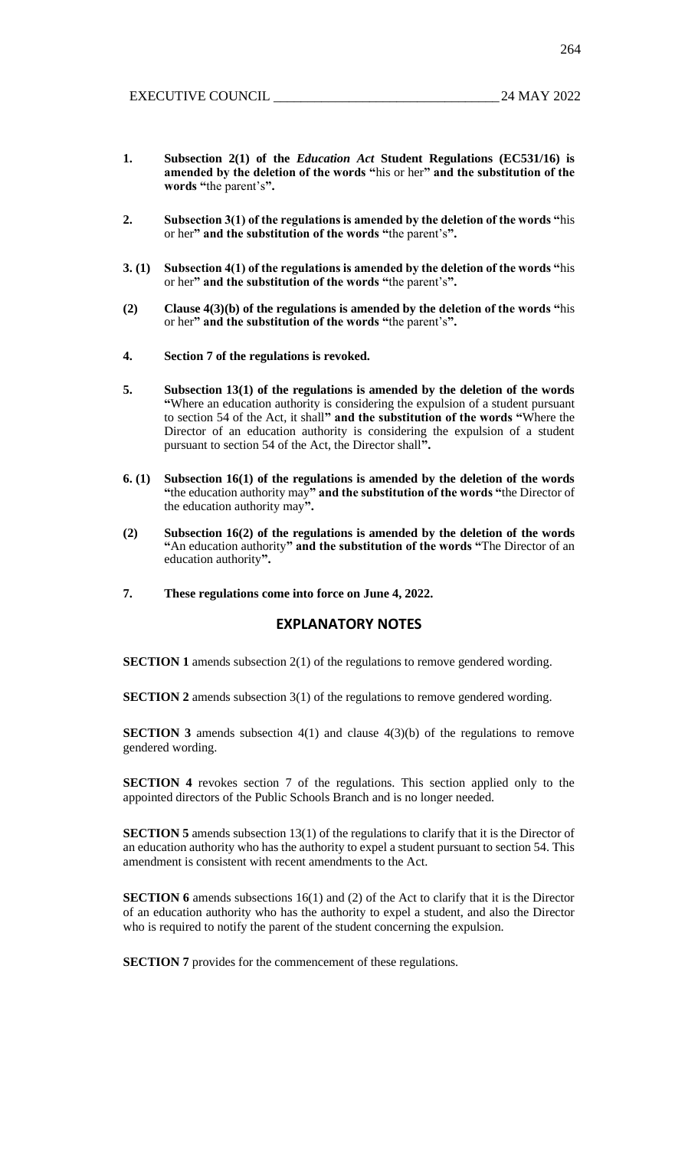264

- **1. Subsection 2(1) of the** *Education Act* **Student Regulations (EC531/16) is amended by the deletion of the words "**his or her**" and the substitution of the words "**the parent's**".**
- **2. Subsection 3(1) of the regulations is amended by the deletion of the words "**his or her**" and the substitution of the words "**the parent's**".**
- **3. (1) Subsection 4(1) of the regulations is amended by the deletion of the words "**his or her**" and the substitution of the words "**the parent's**".**
- **(2) Clause 4(3)(b) of the regulations is amended by the deletion of the words "**his or her**" and the substitution of the words "**the parent's**".**
- **4. Section 7 of the regulations is revoked.**
- **5. Subsection 13(1) of the regulations is amended by the deletion of the words "**Where an education authority is considering the expulsion of a student pursuant to section 54 of the Act, it shall**" and the substitution of the words "**Where the Director of an education authority is considering the expulsion of a student pursuant to section 54 of the Act, the Director shall**".**
- **6. (1) Subsection 16(1) of the regulations is amended by the deletion of the words "**the education authority may**" and the substitution of the words "**the Director of the education authority may**".**
- **(2) Subsection 16(2) of the regulations is amended by the deletion of the words "**An education authority**" and the substitution of the words "**The Director of an education authority**".**
- **7. These regulations come into force on June 4, 2022.**

## **EXPLANATORY NOTES**

**SECTION 1** amends subsection 2(1) of the regulations to remove gendered wording.

**SECTION 2** amends subsection 3(1) of the regulations to remove gendered wording.

**SECTION 3** amends subsection 4(1) and clause 4(3)(b) of the regulations to remove gendered wording.

**SECTION 4** revokes section 7 of the regulations. This section applied only to the appointed directors of the Public Schools Branch and is no longer needed.

**SECTION 5** amends subsection 13(1) of the regulations to clarify that it is the Director of an education authority who has the authority to expel a student pursuant to section 54. This amendment is consistent with recent amendments to the Act.

**SECTION 6** amends subsections 16(1) and (2) of the Act to clarify that it is the Director of an education authority who has the authority to expel a student, and also the Director who is required to notify the parent of the student concerning the expulsion.

**SECTION 7** provides for the commencement of these regulations.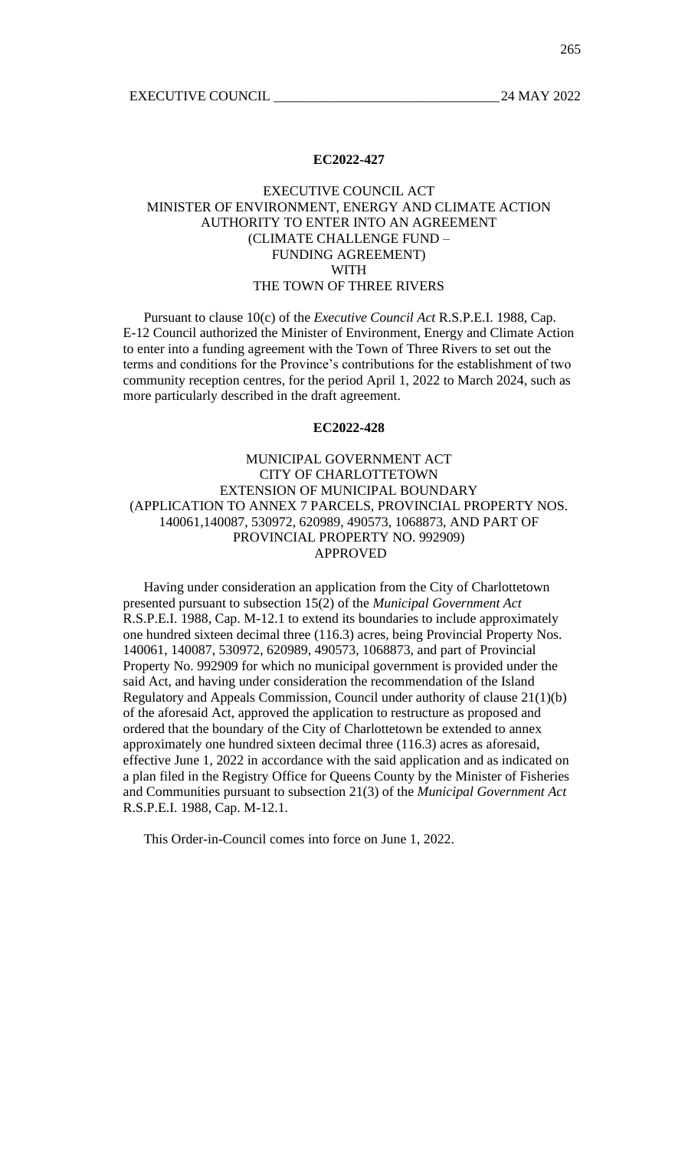#### **EC2022-427**

## EXECUTIVE COUNCIL ACT MINISTER OF ENVIRONMENT, ENERGY AND CLIMATE ACTION AUTHORITY TO ENTER INTO AN AGREEMENT (CLIMATE CHALLENGE FUND – FUNDING AGREEMENT) WITH THE TOWN OF THREE RIVERS

Pursuant to clause 10(c) of the *Executive Council Act* R.S.P.E.I. 1988, Cap. E-12 Council authorized the Minister of Environment, Energy and Climate Action to enter into a funding agreement with the Town of Three Rivers to set out the terms and conditions for the Province's contributions for the establishment of two community reception centres, for the period April 1, 2022 to March 2024, such as more particularly described in the draft agreement.

#### **EC2022-428**

## MUNICIPAL GOVERNMENT ACT CITY OF CHARLOTTETOWN EXTENSION OF MUNICIPAL BOUNDARY (APPLICATION TO ANNEX 7 PARCELS, PROVINCIAL PROPERTY NOS. 140061,140087, 530972, 620989, 490573, 1068873, AND PART OF PROVINCIAL PROPERTY NO. 992909) APPROVED

Having under consideration an application from the City of Charlottetown presented pursuant to subsection 15(2) of the *Municipal Government Act* R.S.P.E.I. 1988, Cap. M-12.1 to extend its boundaries to include approximately one hundred sixteen decimal three (116.3) acres, being Provincial Property Nos. 140061, 140087, 530972, 620989, 490573, 1068873, and part of Provincial Property No. 992909 for which no municipal government is provided under the said Act, and having under consideration the recommendation of the Island Regulatory and Appeals Commission, Council under authority of clause 21(1)(b) of the aforesaid Act, approved the application to restructure as proposed and ordered that the boundary of the City of Charlottetown be extended to annex approximately one hundred sixteen decimal three (116.3) acres as aforesaid, effective June 1, 2022 in accordance with the said application and as indicated on a plan filed in the Registry Office for Queens County by the Minister of Fisheries and Communities pursuant to subsection 21(3) of the *Municipal Government Act* R.S.P.E.I. 1988, Cap. M-12.1.

This Order-in-Council comes into force on June 1, 2022.